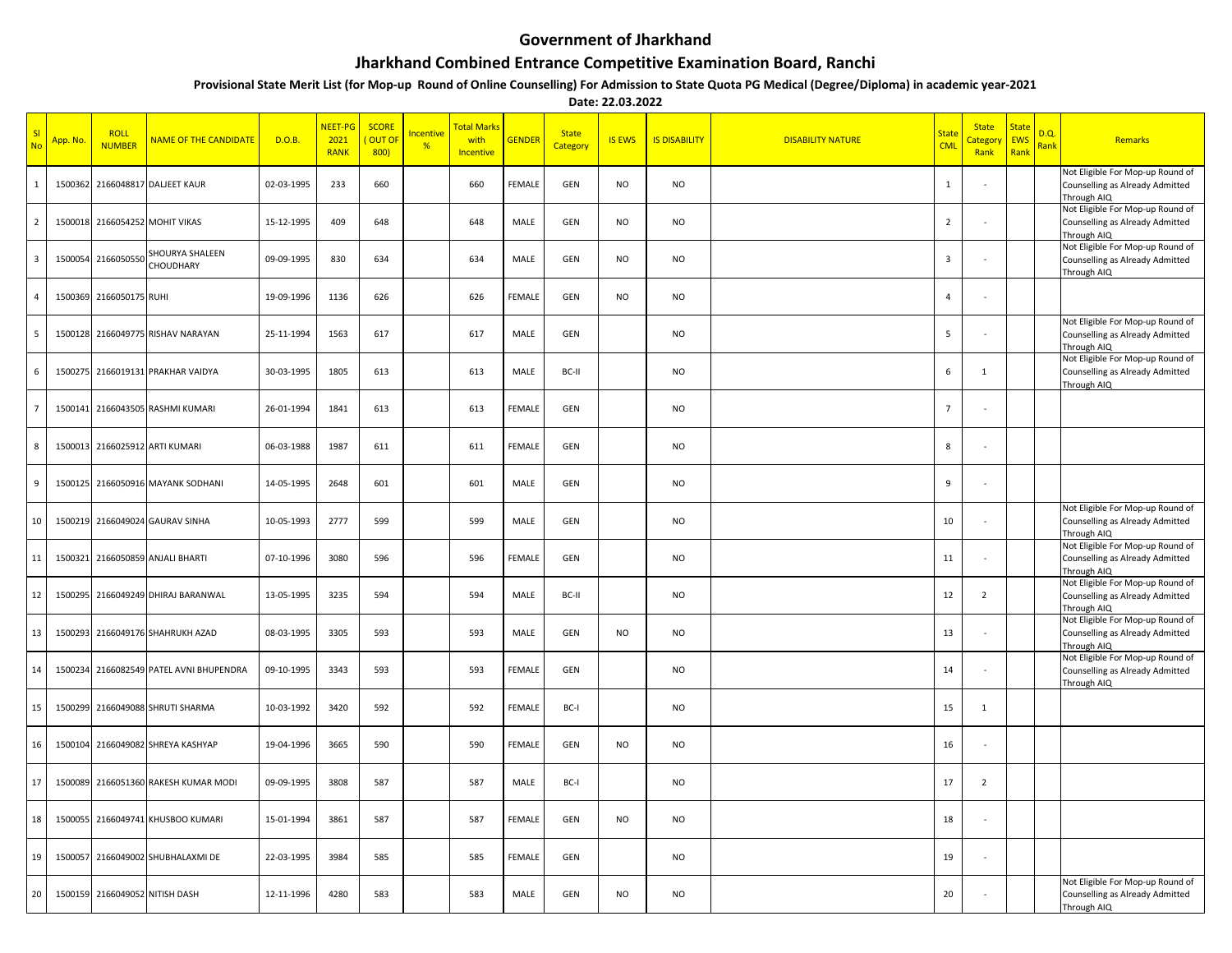## **Government of Jharkhand**

## **Jharkhand Combined Entrance Competitive Examination Board, Ranchi**

**Provisional State Merit List (for Mop-up Round of Online Counselling) For Admission to State Quota PG Medical (Degree/Diploma) in academic year-2021**

**Date: 22.03.2022**

| SI<br><b>No</b>         | <mark>App. No.</mark> | <b>ROLL</b><br><b>NUMBER</b> | <b>NAME OF THE CANDIDATE</b>    | D.O.B.     | NEET-PG<br>2021<br><b>RANK</b> | <b>SCORE</b><br><b>OUT OI</b><br>800) | ncentive<br>% | <b>Fotal Marks</b><br>with<br>Incentive | <b>GENDER</b> | <b>State</b><br>Category | <b>IS EWS</b> | <b>IS DISABILITY</b> | <b>DISABILITY NATURE</b> | <b>State</b><br><b>CML</b> | <b>State</b><br><b>Categor</b><br>Rank | <b>State</b><br><b>EWS</b><br>Rank | D.Q.<br><b>Rank</b> | Remarks                                                                            |
|-------------------------|-----------------------|------------------------------|---------------------------------|------------|--------------------------------|---------------------------------------|---------------|-----------------------------------------|---------------|--------------------------|---------------|----------------------|--------------------------|----------------------------|----------------------------------------|------------------------------------|---------------------|------------------------------------------------------------------------------------|
| $\mathbf{1}$            | 1500362               |                              | 2166048817 DALJEET KAUR         | 02-03-1995 | 233                            | 660                                   |               | 660                                     | <b>FEMALE</b> | GEN                      | <b>NO</b>     | <b>NO</b>            |                          | $\mathbf{1}$               |                                        |                                    |                     | Not Eligible For Mop-up Round of<br>Counselling as Already Admitted<br>Through AIQ |
| $\overline{2}$          | 1500018               |                              | 2166054252 MOHIT VIKAS          | 15-12-1995 | 409                            | 648                                   |               | 648                                     | MALE          | GEN                      | <b>NO</b>     | <b>NO</b>            |                          | $\overline{2}$             |                                        |                                    |                     | Not Eligible For Mop-up Round of<br>Counselling as Already Admitted<br>Through AIQ |
| $\overline{\mathbf{3}}$ | 1500054               | 2166050550                   | SHOURYA SHALEEN<br>CHOUDHARY    | 09-09-1995 | 830                            | 634                                   |               | 634                                     | MALE          | GEN                      | <b>NO</b>     | <b>NO</b>            |                          | $\overline{3}$             |                                        |                                    |                     | Not Eligible For Mop-up Round of<br>Counselling as Already Admitted<br>Through AIQ |
| $\overline{4}$          | 1500369               | 2166050175 RUHI              |                                 | 19-09-1996 | 1136                           | 626                                   |               | 626                                     | FEMALE        | GEN                      | <b>NO</b>     | <b>NO</b>            |                          | $\overline{4}$             |                                        |                                    |                     |                                                                                    |
| 5                       | 1500128               |                              | 2166049775 RISHAV NARAYAN       | 25-11-1994 | 1563                           | 617                                   |               | 617                                     | MALE          | GEN                      |               | <b>NO</b>            |                          | 5                          |                                        |                                    |                     | Not Eligible For Mop-up Round of<br>Counselling as Already Admitted<br>Through AIQ |
| 6                       | 1500275               |                              | 2166019131 PRAKHAR VAIDYA       | 30-03-1995 | 1805                           | 613                                   |               | 613                                     | MALE          | BC-II                    |               | <b>NO</b>            |                          | 6                          | 1                                      |                                    |                     | Not Eligible For Mop-up Round of<br>Counselling as Already Admitted<br>Through AIQ |
| $\overline{7}$          | 1500141               |                              | 2166043505 RASHMI KUMARI        | 26-01-1994 | 1841                           | 613                                   |               | 613                                     | FEMALE        | GEN                      |               | <b>NO</b>            |                          | $\overline{7}$             |                                        |                                    |                     |                                                                                    |
| 8                       | 1500013               |                              | 2166025912 ARTI KUMARI          | 06-03-1988 | 1987                           | 611                                   |               | 611                                     | <b>FEMALE</b> | GEN                      |               | <b>NO</b>            |                          | 8                          |                                        |                                    |                     |                                                                                    |
| 9                       | 1500125               |                              | 2166050916 MAYANK SODHANI       | 14-05-1995 | 2648                           | 601                                   |               | 601                                     | MALE          | GEN                      |               | <b>NO</b>            |                          | 9                          |                                        |                                    |                     |                                                                                    |
| 10                      | 1500219               |                              | 2166049024 GAURAV SINHA         | 10-05-1993 | 2777                           | 599                                   |               | 599                                     | MALE          | GEN                      |               | <b>NO</b>            |                          | 10                         |                                        |                                    |                     | Not Eligible For Mop-up Round of<br>Counselling as Already Admitted<br>Through AIQ |
| 11                      | 1500321               |                              | 2166050859 ANJALI BHARTI        | 07-10-1996 | 3080                           | 596                                   |               | 596                                     | FEMALE        | GEN                      |               | <b>NO</b>            |                          | 11                         |                                        |                                    |                     | Not Eligible For Mop-up Round of<br>Counselling as Already Admitted<br>Through AIQ |
| 12                      | 1500295               |                              | 2166049249 DHIRAJ BARANWAL      | 13-05-1995 | 3235                           | 594                                   |               | 594                                     | MALE          | BC-II                    |               | <b>NO</b>            |                          | 12                         | $\overline{2}$                         |                                    |                     | Not Eligible For Mop-up Round of<br>Counselling as Already Admitted<br>Through AIQ |
| 13                      | 1500293               |                              | 2166049176 SHAHRUKH AZAD        | 08-03-1995 | 3305                           | 593                                   |               | 593                                     | MALE          | GEN                      | <b>NO</b>     | <b>NO</b>            |                          | 13                         |                                        |                                    |                     | Not Eligible For Mop-up Round of<br>Counselling as Already Admitted<br>Through AIQ |
| 14                      | 1500234               |                              | 2166082549 PATEL AVNI BHUPENDRA | 09-10-1995 | 3343                           | 593                                   |               | 593                                     | FEMALE        | GEN                      |               | <b>NO</b>            |                          | 14                         |                                        |                                    |                     | Not Eligible For Mop-up Round of<br>Counselling as Already Admitted<br>Through AIQ |
| 15                      | 1500299               |                              | 2166049088 SHRUTI SHARMA        | 10-03-1992 | 3420                           | 592                                   |               | 592                                     | FEMALE        | BC-I                     |               | <b>NO</b>            |                          | 15                         | 1                                      |                                    |                     |                                                                                    |
| 16                      | 1500104               |                              | 2166049082 SHREYA KASHYAP       | 19-04-1996 | 3665                           | 590                                   |               | 590                                     | <b>FEMALE</b> | GEN                      | <b>NO</b>     | <b>NO</b>            |                          | 16                         |                                        |                                    |                     |                                                                                    |
| 17                      | 1500089               |                              | 2166051360 RAKESH KUMAR MODI    | 09-09-1995 | 3808                           | 587                                   |               | 587                                     | MALE          | BC-I                     |               | <b>NO</b>            |                          | 17                         | $\overline{2}$                         |                                    |                     |                                                                                    |
| 18                      | 1500055               |                              | 2166049741 KHUSBOO KUMARI       | 15-01-1994 | 3861                           | 587                                   |               | 587                                     | <b>FEMALE</b> | GEN                      | <b>NO</b>     | <b>NO</b>            |                          | 18                         |                                        |                                    |                     |                                                                                    |
| 19                      | 1500057               |                              | 2166049002 SHUBHALAXMI DE       | 22-03-1995 | 3984                           | 585                                   |               | 585                                     | FEMALE        | GEN                      |               | NO                   |                          | 19                         |                                        |                                    |                     |                                                                                    |
| 20                      |                       |                              | 1500159 2166049052 NITISH DASH  | 12-11-1996 | 4280                           | 583                                   |               | 583                                     | MALE          | GEN                      | <b>NO</b>     | <b>NO</b>            |                          | 20                         |                                        |                                    |                     | Not Eligible For Mop-up Round of<br>Counselling as Already Admitted<br>Through AIQ |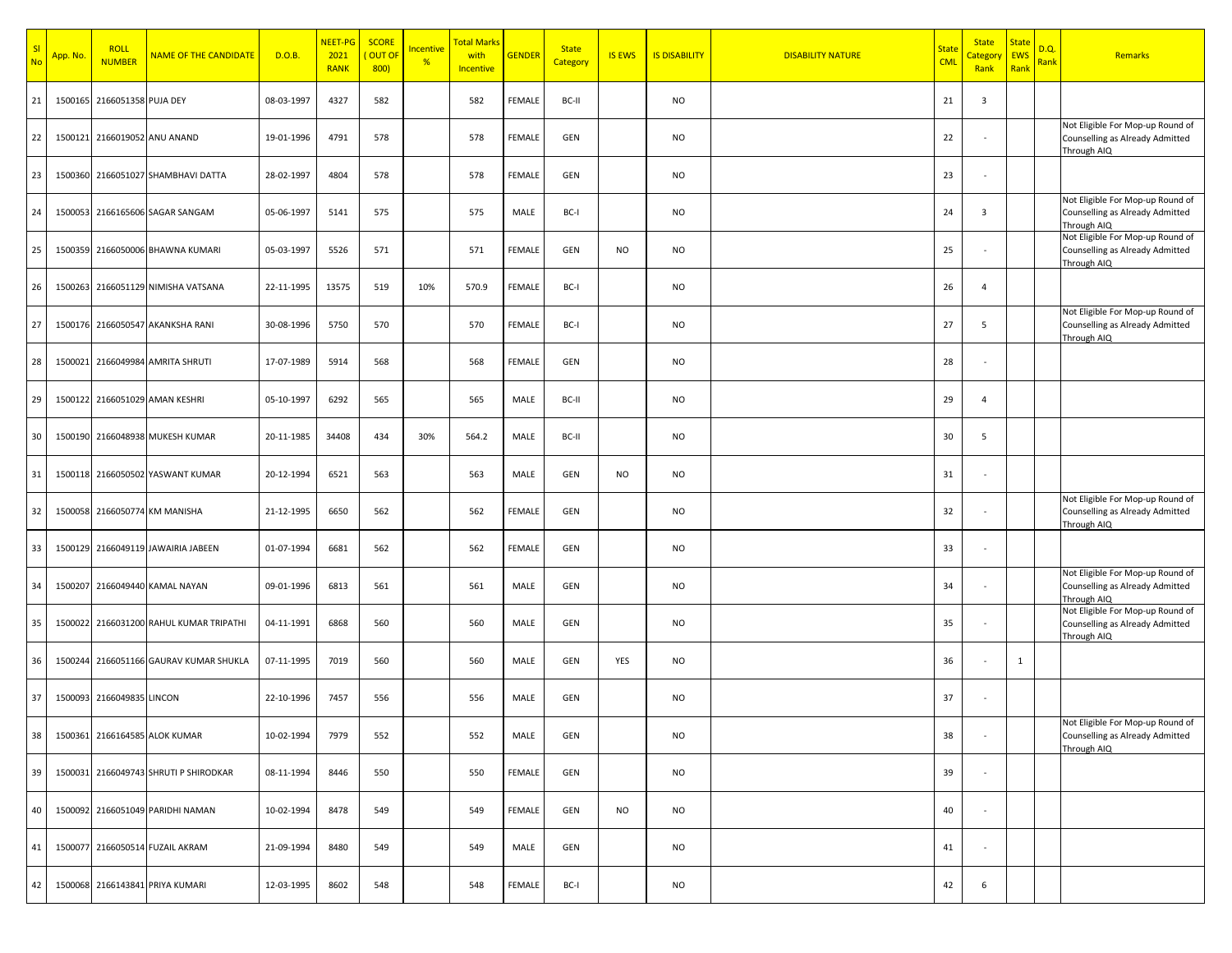| SI<br>No | App. No. | <b>ROLL</b><br><b>NUMBER</b> | <b>NAME OF THE CANDIDATE</b>            | D.O.B.     | NEET-PG<br>2021<br><b>RANK</b> | <b>SCORE</b><br>OUT O<br>800) | <u>Incentive</u><br>% | Total Marks<br>with<br><b>Incentive</b> | <b>GENDER</b> | <b>State</b><br>Category | <b>IS EWS</b> | <b>IS DISABILITY</b> | <b>DISABILITY NATURE</b> | <b>State</b><br><b>CML</b> | <b>State</b><br>Category<br>Rank | <b>State</b><br><b>EWS</b><br>Rank | D.Q.<br><b>Rank</b> | Remarks                                                                            |
|----------|----------|------------------------------|-----------------------------------------|------------|--------------------------------|-------------------------------|-----------------------|-----------------------------------------|---------------|--------------------------|---------------|----------------------|--------------------------|----------------------------|----------------------------------|------------------------------------|---------------------|------------------------------------------------------------------------------------|
| 21       |          | 1500165 2166051358 PUJA DEY  |                                         | 08-03-1997 | 4327                           | 582                           |                       | 582                                     | <b>FEMALE</b> | BC-II                    |               | <b>NO</b>            |                          | 21                         | 3                                |                                    |                     |                                                                                    |
| 22       |          |                              | 1500121 2166019052 ANU ANAND            | 19-01-1996 | 4791                           | 578                           |                       | 578                                     | <b>FEMALE</b> | GEN                      |               | <b>NO</b>            |                          | 22                         | $\sim$                           |                                    |                     | Not Eligible For Mop-up Round of<br>Counselling as Already Admitted<br>Through AIQ |
| 23       |          |                              | 1500360 2166051027 SHAMBHAVI DATTA      | 28-02-1997 | 4804                           | 578                           |                       | 578                                     | <b>FEMALE</b> | GEN                      |               | <b>NO</b>            |                          | 23                         | $\sim$                           |                                    |                     |                                                                                    |
| 24       |          |                              | 1500053 2166165606 SAGAR SANGAM         | 05-06-1997 | 5141                           | 575                           |                       | 575                                     | MALE          | BC-I                     |               | <b>NO</b>            |                          | 24                         | 3                                |                                    |                     | Not Eligible For Mop-up Round of<br>Counselling as Already Admitted<br>Through AIQ |
| 25       |          |                              | 1500359 2166050006 BHAWNA KUMARI        | 05-03-1997 | 5526                           | 571                           |                       | 571                                     | <b>FEMALE</b> | GEN                      | <b>NO</b>     | <b>NO</b>            |                          | 25                         |                                  |                                    |                     | Not Eligible For Mop-up Round of<br>Counselling as Already Admitted<br>Through AIQ |
| 26       |          |                              | 1500263 2166051129 NIMISHA VATSANA      | 22-11-1995 | 13575                          | 519                           | 10%                   | 570.9                                   | <b>FEMALE</b> | BC-I                     |               | <b>NO</b>            |                          | 26                         | $\overline{4}$                   |                                    |                     |                                                                                    |
| 27       |          |                              | 1500176 2166050547 AKANKSHA RANI        | 30-08-1996 | 5750                           | 570                           |                       | 570                                     | <b>FEMALE</b> | BC-I                     |               | <b>NO</b>            |                          | 27                         | 5                                |                                    |                     | Not Eligible For Mop-up Round of<br>Counselling as Already Admitted<br>Through AIQ |
| 28       |          |                              | 1500021 2166049984 AMRITA SHRUTI        | 17-07-1989 | 5914                           | 568                           |                       | 568                                     | <b>FEMALE</b> | GEN                      |               | <b>NO</b>            |                          | 28                         |                                  |                                    |                     |                                                                                    |
| 29       |          |                              | 1500122 2166051029 AMAN KESHRI          | 05-10-1997 | 6292                           | 565                           |                       | 565                                     | MALE          | BC-II                    |               | <b>NO</b>            |                          | 29                         | $\overline{4}$                   |                                    |                     |                                                                                    |
| 30       |          |                              | 1500190 2166048938 MUKESH KUMAR         | 20-11-1985 | 34408                          | 434                           | 30%                   | 564.2                                   | MALE          | BC-II                    |               | <b>NO</b>            |                          | 30                         | 5                                |                                    |                     |                                                                                    |
| 31       |          |                              | 1500118 2166050502 YASWANT KUMAR        | 20-12-1994 | 6521                           | 563                           |                       | 563                                     | MALE          | GEN                      | <b>NO</b>     | <b>NO</b>            |                          | 31                         | $\sim$                           |                                    |                     |                                                                                    |
| 32       |          |                              | 1500058 2166050774 KM MANISHA           | 21-12-1995 | 6650                           | 562                           |                       | 562                                     | <b>FEMALE</b> | GEN                      |               | <b>NO</b>            |                          | 32                         | $\sim$                           |                                    |                     | Not Eligible For Mop-up Round of<br>Counselling as Already Admitted<br>Through AIQ |
| 33       |          |                              | 1500129 2166049119 JAWAIRIA JABEEN      | 01-07-1994 | 6681                           | 562                           |                       | 562                                     | <b>FEMALE</b> | GEN                      |               | <b>NO</b>            |                          | 33                         | $\sim$                           |                                    |                     |                                                                                    |
| 34       |          |                              | 1500207 2166049440 KAMAL NAYAN          | 09-01-1996 | 6813                           | 561                           |                       | 561                                     | MALE          | GEN                      |               | <b>NO</b>            |                          | 34                         | $\sim$                           |                                    |                     | Not Eligible For Mop-up Round of<br>Counselling as Already Admitted<br>Through AIQ |
| 35       |          |                              | 1500022 2166031200 RAHUL KUMAR TRIPATHI | 04-11-1991 | 6868                           | 560                           |                       | 560                                     | MALE          | GEN                      |               | <b>NO</b>            |                          | 35                         | $\sim$                           |                                    |                     | Not Eligible For Mop-up Round of<br>Counselling as Already Admitted<br>Through AIQ |
| 36       |          |                              | 1500244 2166051166 GAURAV KUMAR SHUKLA  | 07-11-1995 | 7019                           | 560                           |                       | 560                                     | MALE          | GEN                      | YES           | <b>NO</b>            |                          | 36                         | $\sim$                           | $\mathbf{1}$                       |                     |                                                                                    |
| 37       |          | 1500093 2166049835 LINCON    |                                         | 22-10-1996 | 7457                           | 556                           |                       | 556                                     | MALE          | <b>GEN</b>               |               | <b>NO</b>            |                          | 37                         |                                  |                                    |                     |                                                                                    |
| 38       |          |                              | 1500361 2166164585 ALOK KUMAR           | 10-02-1994 | 7979                           | 552                           |                       | 552                                     | MALE          | GEN                      |               | <b>NO</b>            |                          | 38                         | $\overline{\phantom{a}}$         |                                    |                     | Not Eligible For Mop-up Round of<br>Counselling as Already Admitted<br>Through AIQ |
| 39       |          |                              | 1500031 2166049743 SHRUTI P SHIRODKAR   | 08-11-1994 | 8446                           | 550                           |                       | 550                                     | FEMALE        | GEN                      |               | <b>NO</b>            |                          | 39                         | ×                                |                                    |                     |                                                                                    |
| 40       |          |                              | 1500092 2166051049 PARIDHI NAMAN        | 10-02-1994 | 8478                           | 549                           |                       | 549                                     | FEMALE        | GEN                      | <b>NO</b>     | <b>NO</b>            |                          | 40                         | ×                                |                                    |                     |                                                                                    |
| 41       |          |                              | 1500077 2166050514 FUZAIL AKRAM         | 21-09-1994 | 8480                           | 549                           |                       | 549                                     | MALE          | GEN                      |               | <b>NO</b>            |                          | 41                         | ÷                                |                                    |                     |                                                                                    |
| 42       |          |                              | 1500068 2166143841 PRIYA KUMARI         | 12-03-1995 | 8602                           | 548                           |                       | 548                                     | FEMALE        | BC-I                     |               | NO                   |                          | 42                         | 6                                |                                    |                     |                                                                                    |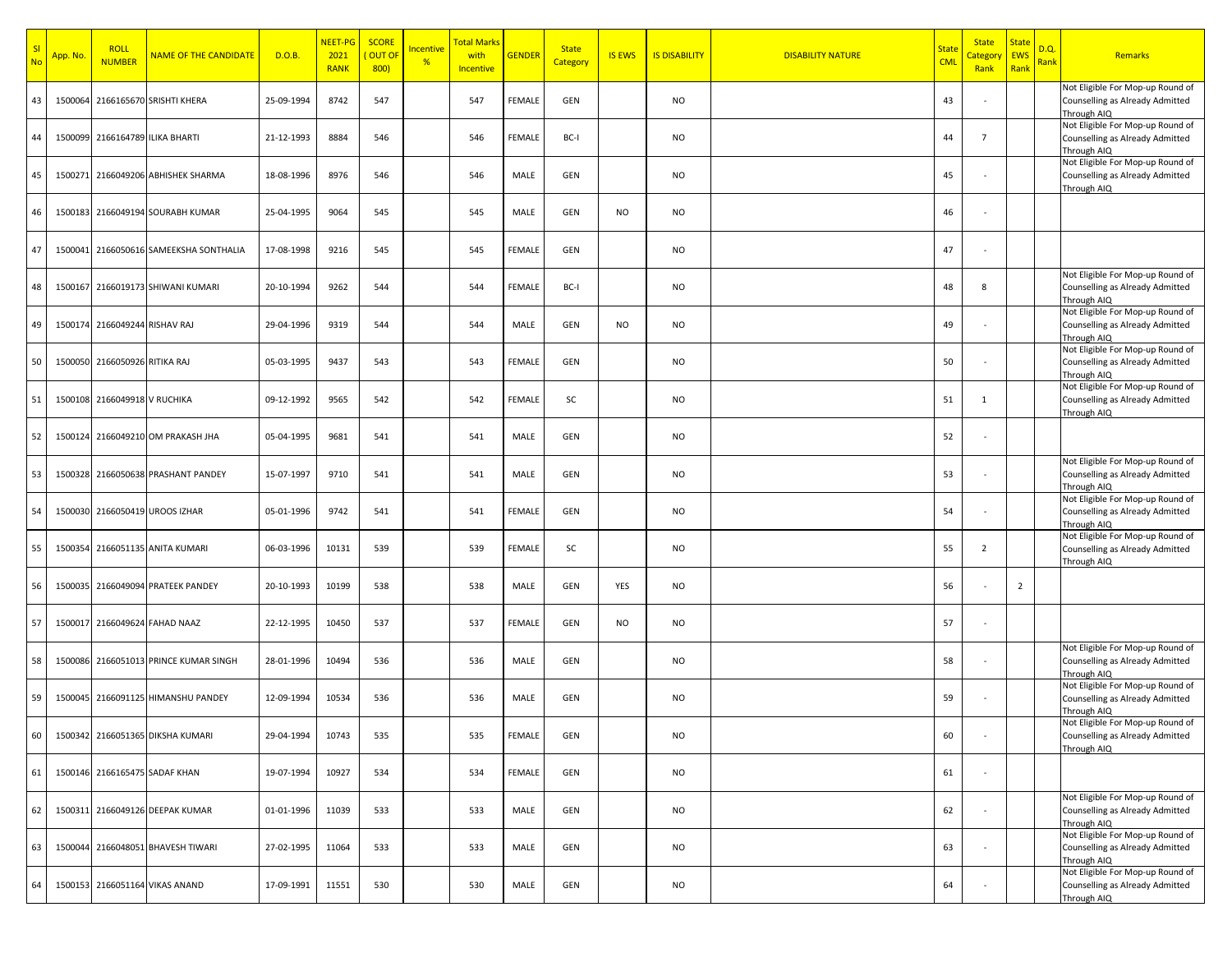| SI<br><b>No</b> | App. No. | <b>ROLL</b><br><b>NUMBER</b> | NAME OF THE CANDIDATE            | D.O.B.     | NEET-PG<br>2021<br><b>RANK</b> | <b>SCORE</b><br>OUT O<br>800) | ncentive<br>% | <b>Total Marks</b><br>with<br>Incentive | <b>GENDER</b> | <b>State</b><br>Category | <b>IS EWS</b> | <b>IS DISABILITY</b> | <b>DISABILITY NATURE</b> | <b>State</b><br><b>CML</b> | <b>State</b><br>Category<br>Rank | <b>State</b><br><b>EWS</b><br>Rank | D.Q.<br><mark>Rank</mark> | Remarks                                                                                                                |
|-----------------|----------|------------------------------|----------------------------------|------------|--------------------------------|-------------------------------|---------------|-----------------------------------------|---------------|--------------------------|---------------|----------------------|--------------------------|----------------------------|----------------------------------|------------------------------------|---------------------------|------------------------------------------------------------------------------------------------------------------------|
| 43              | 1500064  |                              | 2166165670 SRISHTI KHERA         | 25-09-1994 | 8742                           | 547                           |               | 547                                     | FEMALE        | GEN                      |               | NO                   |                          | 43                         |                                  |                                    |                           | Not Eligible For Mop-up Round of<br>Counselling as Already Admitted<br>Through AIQ                                     |
| 44              | 1500099  |                              | 2166164789 ILIKA BHARTI          | 21-12-1993 | 8884                           | 546                           |               | 546                                     | FEMALE        | BC-I                     |               | NO                   |                          | 44                         | $\overline{7}$                   |                                    |                           | Not Eligible For Mop-up Round of<br>Counselling as Already Admitted<br>Through AIQ                                     |
| 45              | 1500271  |                              | 2166049206 ABHISHEK SHARMA       | 18-08-1996 | 8976                           | 546                           |               | 546                                     | MALE          | GEN                      |               | NO                   |                          | 45                         |                                  |                                    |                           | Not Eligible For Mop-up Round of<br>Counselling as Already Admitted<br>Through AIQ                                     |
| 46              | 1500183  |                              | 2166049194 SOURABH KUMAR         | 25-04-1995 | 9064                           | 545                           |               | 545                                     | MALE          | GEN                      | <b>NO</b>     | NO                   |                          | 46                         |                                  |                                    |                           |                                                                                                                        |
| 47              | 1500041  |                              | 2166050616 SAMEEKSHA SONTHALIA   | 17-08-1998 | 9216                           | 545                           |               | 545                                     | FEMALE        | GEN                      |               | NO                   |                          | 47                         |                                  |                                    |                           |                                                                                                                        |
| 48              | 1500167  |                              | 2166019173 SHIWANI KUMARI        | 20-10-1994 | 9262                           | 544                           |               | 544                                     | FEMALE        | BC-I                     |               | NO                   |                          | 48                         | 8                                |                                    |                           | Not Eligible For Mop-up Round of<br>Counselling as Already Admitted<br>Through AIQ                                     |
| 49              | 1500174  | 2166049244 RISHAV RAJ        |                                  | 29-04-1996 | 9319                           | 544                           |               | 544                                     | MALE          | GEN                      | <b>NO</b>     | NO                   |                          | 49                         |                                  |                                    |                           | Not Eligible For Mop-up Round of<br>Counselling as Already Admitted<br>Through AIQ                                     |
| 50              | 1500050  | 2166050926 RITIKA RAJ        |                                  | 05-03-1995 | 9437                           | 543                           |               | 543                                     | <b>FEMALE</b> | GEN                      |               | NO                   |                          | 50                         |                                  |                                    |                           | Not Eligible For Mop-up Round of<br>Counselling as Already Admitted<br>Through AIQ                                     |
| 51              | 1500108  | 2166049918 V RUCHIKA         |                                  | 09-12-1992 | 9565                           | 542                           |               | 542                                     | <b>FEMALE</b> | SC                       |               | NO                   |                          | 51                         | 1                                |                                    |                           | Not Eligible For Mop-up Round of<br>Counselling as Already Admitted<br>Through AIQ                                     |
| 52              | 1500124  |                              | 2166049210 OM PRAKASH JHA        | 05-04-1995 | 9681                           | 541                           |               | 541                                     | MALE          | GEN                      |               | NO                   |                          | 52                         |                                  |                                    |                           |                                                                                                                        |
| 53              | 1500328  |                              | 2166050638 PRASHANT PANDEY       | 15-07-1997 | 9710                           | 541                           |               | 541                                     | MALE          | GEN                      |               | NO                   |                          | 53                         |                                  |                                    |                           | Not Eligible For Mop-up Round of<br>Counselling as Already Admitted<br>Through AIQ                                     |
| 54              | 1500030  |                              | 2166050419 UROOS IZHAR           | 05-01-1996 | 9742                           | 541                           |               | 541                                     | <b>FEMALE</b> | GEN                      |               | NO                   |                          | 54                         |                                  |                                    |                           | Not Eligible For Mop-up Round of<br>Counselling as Already Admitted<br>Through AIQ                                     |
| 55              | 1500354  |                              | 2166051135 ANITA KUMARI          | 06-03-1996 | 10131                          | 539                           |               | 539                                     | <b>FEMALE</b> | SC                       |               | NO                   |                          | 55                         | $\overline{2}$                   |                                    |                           | Not Eligible For Mop-up Round of<br>Counselling as Already Admitted<br>Through AIQ                                     |
| 56              | 1500035  |                              | 2166049094 PRATEEK PANDEY        | 20-10-1993 | 10199                          | 538                           |               | 538                                     | MALE          | GEN                      | YES           | NO                   |                          | 56                         |                                  | $\overline{2}$                     |                           |                                                                                                                        |
| 57              | 1500017  |                              | 2166049624 FAHAD NAAZ            | 22-12-1995 | 10450                          | 537                           |               | 537                                     | <b>FEMALE</b> | GEN                      | <b>NO</b>     | NO                   |                          | 57                         |                                  |                                    |                           | Not Eligible For Mop-up Round of                                                                                       |
| 58              | 1500086  |                              | 2166051013 PRINCE KUMAR SINGH    | 28-01-1996 | 10494                          | 536                           |               | 536                                     | MALE          | GEN                      |               | NO                   |                          | 58                         |                                  |                                    |                           | Counselling as Already Admitted<br>Through AIQ                                                                         |
| 59              | 1500045  |                              | 2166091125 HIMANSHU PANDEY       | 12-09-1994 | 10534                          | 536                           |               | 536                                     | MALE          | GEN                      |               | NO                   |                          | 59                         |                                  |                                    |                           | Not Eligible For Mop-up Round of<br>Counselling as Already Admitted<br>Through AIQ<br>Not Eligible For Mop-up Round of |
| 60              |          |                              | 1500342 2166051365 DIKSHA KUMARI | 29-04-1994 | 10743                          | 535                           |               | 535                                     | FEMALE        | GEN                      |               | <b>NO</b>            |                          | 60                         |                                  |                                    |                           | Counselling as Already Admitted<br>Through AIQ                                                                         |
| 61              | 1500146  |                              | 2166165475 SADAF KHAN            | 19-07-1994 | 10927                          | 534                           |               | 534                                     | FEMALE        | GEN                      |               | <b>NO</b>            |                          | 61                         |                                  |                                    |                           |                                                                                                                        |
| 62              | 1500311  |                              | 2166049126 DEEPAK KUMAR          | 01-01-1996 | 11039                          | 533                           |               | 533                                     | MALE          | GEN                      |               | <b>NO</b>            |                          | 62                         |                                  |                                    |                           | Not Eligible For Mop-up Round of<br>Counselling as Already Admitted<br>Through AIQ                                     |
| 63              | 1500044  |                              | 2166048051 BHAVESH TIWARI        | 27-02-1995 | 11064                          | 533                           |               | 533                                     | MALE          | GEN                      |               | <b>NO</b>            |                          | 63                         |                                  |                                    |                           | Not Eligible For Mop-up Round of<br>Counselling as Already Admitted<br>Through AIQ                                     |
| 64              | 1500153  |                              | 2166051164 VIKAS ANAND           | 17-09-1991 | 11551                          | 530                           |               | 530                                     | MALE          | GEN                      |               | NO                   |                          | 64                         |                                  |                                    |                           | Not Eligible For Mop-up Round of<br>Counselling as Already Admitted<br>Through AIQ                                     |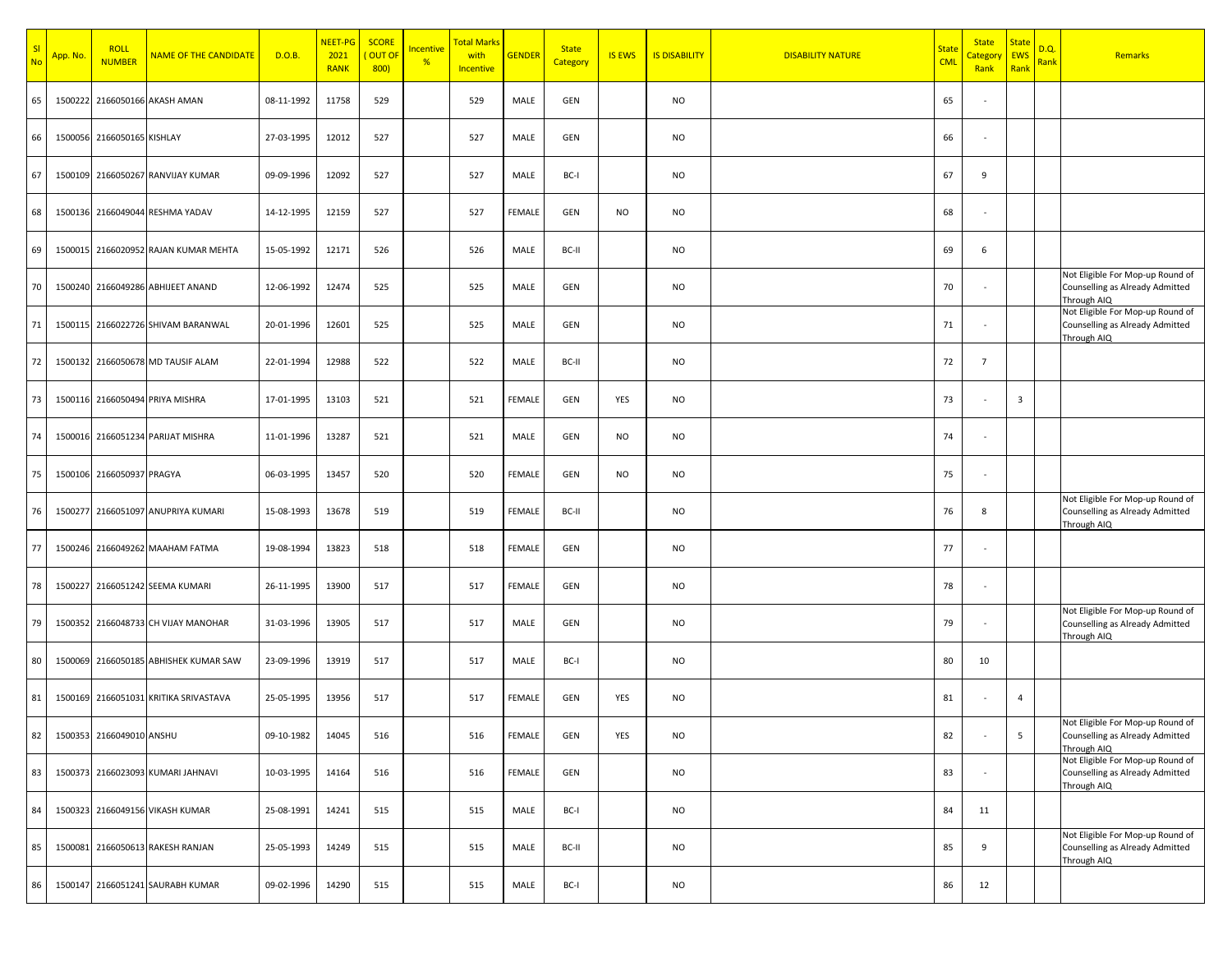| SI<br><b>No</b> | App. No. | <b>ROLL</b><br><b>NUMBER</b> | <b>NAME OF THE CANDIDATE</b>       | D.O.B.     | NEET-PG<br>2021<br><b>RANK</b> | <b>SCORE</b><br>OUT OF<br>800) | <u>Incentive</u><br>% | <b>Total Marks</b><br>with<br><b>Incentive</b> | <b>GENDER</b> | <b>State</b><br>Category | <b>IS EWS</b> | <b>IS DISABILITY</b> | <b>DISABILITY NATURE</b> | <b>State</b><br><b>CML</b> | <b>State</b><br><mark>Category</mark><br>Rank | <b>State</b><br><b>EWS</b><br>Rank | D.Q.<br><b>Rank</b> | Remarks                                                                            |
|-----------------|----------|------------------------------|------------------------------------|------------|--------------------------------|--------------------------------|-----------------------|------------------------------------------------|---------------|--------------------------|---------------|----------------------|--------------------------|----------------------------|-----------------------------------------------|------------------------------------|---------------------|------------------------------------------------------------------------------------|
| 65              | 1500222  |                              | 2166050166 AKASH AMAN              | 08-11-1992 | 11758                          | 529                            |                       | 529                                            | MALE          | GEN                      |               | <b>NO</b>            |                          | 65                         |                                               |                                    |                     |                                                                                    |
| 66              |          | 1500056 2166050165 KISHLAY   |                                    | 27-03-1995 | 12012                          | 527                            |                       | 527                                            | MALE          | GEN                      |               | <b>NO</b>            |                          | 66                         |                                               |                                    |                     |                                                                                    |
| 67              |          |                              | 1500109 2166050267 RANVIJAY KUMAR  | 09-09-1996 | 12092                          | 527                            |                       | 527                                            | MALE          | BC-I                     |               | <b>NO</b>            |                          | 67                         | 9                                             |                                    |                     |                                                                                    |
| 68              |          |                              | 1500136 2166049044 RESHMA YADAV    | 14-12-1995 | 12159                          | 527                            |                       | 527                                            | <b>FEMALE</b> | GEN                      | <b>NO</b>     | <b>NO</b>            |                          | 68                         |                                               |                                    |                     |                                                                                    |
| 69              | 1500015  |                              | 2166020952 RAJAN KUMAR MEHTA       | 15-05-1992 | 12171                          | 526                            |                       | 526                                            | MALE          | BC-II                    |               | <b>NO</b>            |                          | 69                         | 6                                             |                                    |                     |                                                                                    |
| 70              |          |                              | 1500240 2166049286 ABHIJEET ANAND  | 12-06-1992 | 12474                          | 525                            |                       | 525                                            | MALE          | GEN                      |               | <b>NO</b>            |                          | 70                         |                                               |                                    |                     | Not Eligible For Mop-up Round of<br>Counselling as Already Admitted<br>Through AIQ |
| 71              |          |                              | 1500115 2166022726 SHIVAM BARANWAL | 20-01-1996 | 12601                          | 525                            |                       | 525                                            | MALE          | GEN                      |               | <b>NO</b>            |                          | 71                         |                                               |                                    |                     | Not Eligible For Mop-up Round of<br>Counselling as Already Admitted<br>Through AIQ |
| 72              |          |                              | 1500132 2166050678 MD TAUSIF ALAM  | 22-01-1994 | 12988                          | 522                            |                       | 522                                            | MALE          | BC-II                    |               | <b>NO</b>            |                          | 72                         | $7\overline{ }$                               |                                    |                     |                                                                                    |
| 73              |          |                              | 1500116 2166050494 PRIYA MISHRA    | 17-01-1995 | 13103                          | 521                            |                       | 521                                            | <b>FEMALE</b> | GEN                      | YES           | NO                   |                          | 73                         |                                               | 3                                  |                     |                                                                                    |
| 74              |          |                              | 1500016 2166051234 PARIJAT MISHRA  | 11-01-1996 | 13287                          | 521                            |                       | 521                                            | MALE          | GEN                      | <b>NO</b>     | <b>NO</b>            |                          | 74                         |                                               |                                    |                     |                                                                                    |
| 75              |          | 1500106 2166050937 PRAGYA    |                                    | 06-03-1995 | 13457                          | 520                            |                       | 520                                            | <b>FEMALE</b> | GEN                      | <b>NO</b>     | <b>NO</b>            |                          | 75                         |                                               |                                    |                     |                                                                                    |
| 76              | 1500277  |                              | 2166051097 ANUPRIYA KUMARI         | 15-08-1993 | 13678                          | 519                            |                       | 519                                            | <b>FEMALE</b> | BC-II                    |               | <b>NO</b>            |                          | 76                         | 8                                             |                                    |                     | Not Eligible For Mop-up Round of<br>Counselling as Already Admitted<br>Through AIQ |
| 77              |          |                              | 1500246 2166049262 MAAHAM FATMA    | 19-08-1994 | 13823                          | 518                            |                       | 518                                            | <b>FEMALE</b> | GEN                      |               | <b>NO</b>            |                          | 77                         |                                               |                                    |                     |                                                                                    |
| 78              | 1500227  |                              | 2166051242 SEEMA KUMARI            | 26-11-1995 | 13900                          | 517                            |                       | 517                                            | <b>FEMALE</b> | GEN                      |               | <b>NO</b>            |                          | 78                         |                                               |                                    |                     |                                                                                    |
| 79              | 1500352  |                              | 2166048733 CH VIJAY MANOHAR        | 31-03-1996 | 13905                          | 517                            |                       | 517                                            | MALE          | GEN                      |               | <b>NO</b>            |                          | 79                         | $\sim$                                        |                                    |                     | Not Eligible For Mop-up Round of<br>Counselling as Already Admitted<br>Through AIQ |
| 80              | 1500069  |                              | 2166050185 ABHISHEK KUMAR SAW      | 23-09-1996 | 13919                          | 517                            |                       | 517                                            | MALE          | BC-I                     |               | <b>NO</b>            |                          | 80                         | 10                                            |                                    |                     |                                                                                    |
| 81              | 1500169  |                              | 2166051031 KRITIKA SRIVASTAVA      | 25-05-1995 | 13956                          | 517                            |                       | 517                                            | <b>FEMALE</b> | GEN                      | YES           | <b>NO</b>            |                          | 81                         |                                               | 4                                  |                     |                                                                                    |
| 82              |          | 1500353 2166049010 ANSHU     |                                    | 09-10-1982 | 14045                          | 516                            |                       | 516                                            | FEMALE        | GEN                      | YES           | <b>NO</b>            |                          | 82                         |                                               | 5                                  |                     | Not Eligible For Mop-up Round of<br>Counselling as Already Admitted<br>Through AIQ |
| 83              |          |                              | 1500373 2166023093 KUMARI JAHNAVI  | 10-03-1995 | 14164                          | 516                            |                       | 516                                            | <b>FEMALE</b> | GEN                      |               | <b>NO</b>            |                          | 83                         |                                               |                                    |                     | Not Eligible For Mop-up Round of<br>Counselling as Already Admitted<br>Through AIQ |
| 84              |          |                              | 1500323 2166049156 VIKASH KUMAR    | 25-08-1991 | 14241                          | 515                            |                       | 515                                            | MALE          | BC-I                     |               | <b>NO</b>            |                          | 84                         | 11                                            |                                    |                     |                                                                                    |
| 85              | 1500081  |                              | 2166050613 RAKESH RANJAN           | 25-05-1993 | 14249                          | 515                            |                       | 515                                            | MALE          | BC-II                    |               | <b>NO</b>            |                          | 85                         | 9                                             |                                    |                     | Not Eligible For Mop-up Round of<br>Counselling as Already Admitted<br>Through AIQ |
| 86              | 1500147  |                              | 2166051241 SAURABH KUMAR           | 09-02-1996 | 14290                          | 515                            |                       | 515                                            | MALE          | BC-I                     |               | NO                   |                          | 86                         | 12                                            |                                    |                     |                                                                                    |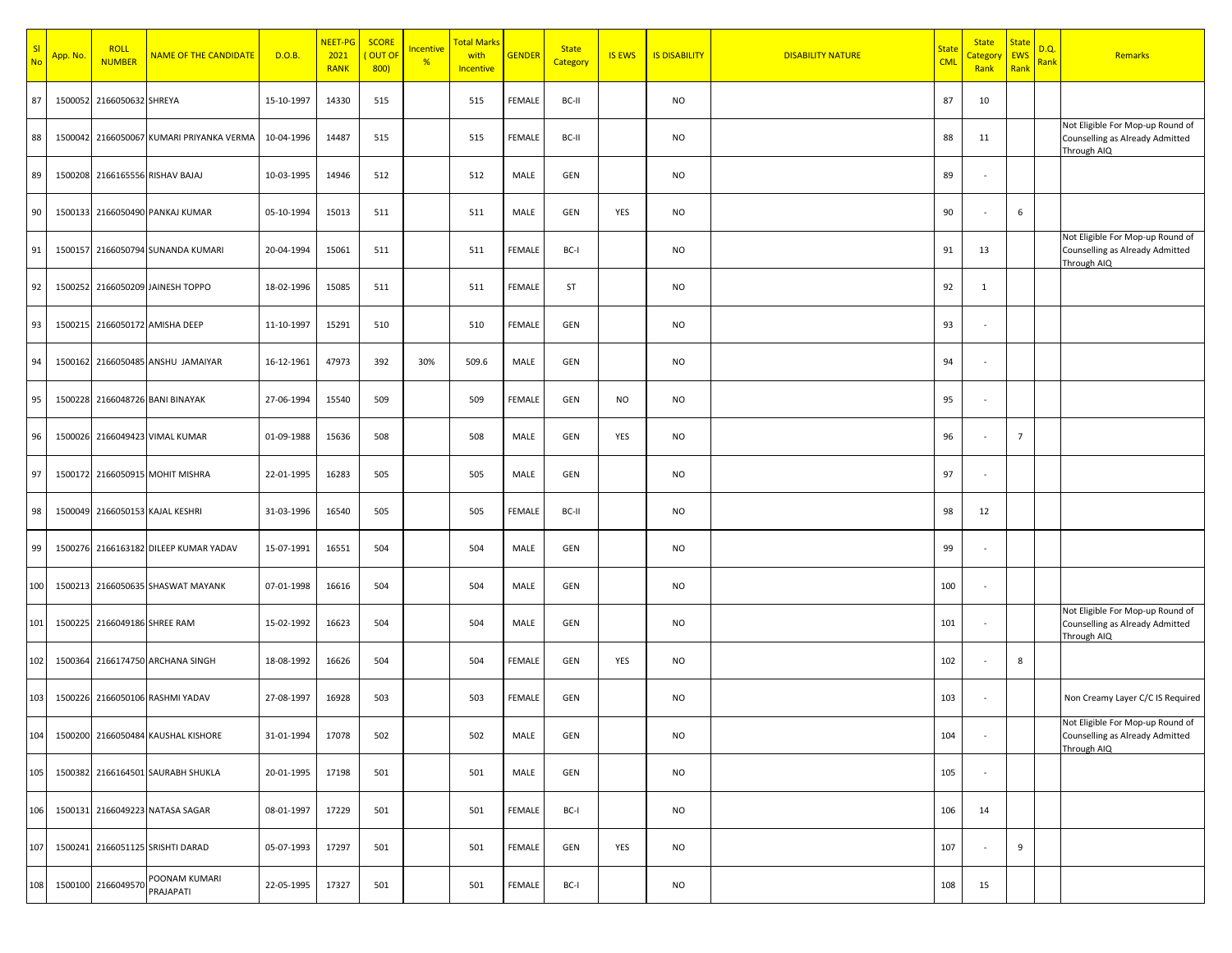| SI<br><b>No</b> | App. No. | <b>ROLL</b><br><b>NUMBER</b> | <b>NAME OF THE CANDIDATE</b>             | D.O.B.     | NEET-PG<br>2021<br><b>RANK</b> | <b>SCORE</b><br>OUT OI<br>800) | Incentive<br>% | <mark>Total Marks</mark><br>with<br>Incentive | <b>GENDER</b> | <b>State</b><br>Category | <b>IS EWS</b> | <b>IS DISABILITY</b> | <b>DISABILITY NATURE</b> | <b>State</b><br><b>CML</b> | <b>State</b><br><b>Category</b><br>Rank | <b>State</b><br><b>EWS</b><br>Rank | D.Q.<br><mark>Rank</mark> | Remarks                                                                            |
|-----------------|----------|------------------------------|------------------------------------------|------------|--------------------------------|--------------------------------|----------------|-----------------------------------------------|---------------|--------------------------|---------------|----------------------|--------------------------|----------------------------|-----------------------------------------|------------------------------------|---------------------------|------------------------------------------------------------------------------------|
| 87              | 1500052  | 2166050632 SHREYA            |                                          | 15-10-1997 | 14330                          | 515                            |                | 515                                           | FEMALE        | BC-II                    |               | <b>NO</b>            |                          | 87                         | 10                                      |                                    |                           |                                                                                    |
| 88              |          |                              | 1500042 2166050067 KUMARI PRIYANKA VERMA | 10-04-1996 | 14487                          | 515                            |                | 515                                           | FEMALE        | BC-II                    |               | <b>NO</b>            |                          | 88                         | 11                                      |                                    |                           | Not Eligible For Mop-up Round of<br>Counselling as Already Admitted<br>Through AIQ |
| 89              |          |                              | 1500208 2166165556 RISHAV BAJAJ          | 10-03-1995 | 14946                          | 512                            |                | 512                                           | MALE          | GEN                      |               | <b>NO</b>            |                          | 89                         |                                         |                                    |                           |                                                                                    |
| 90              |          |                              | 1500133 2166050490 PANKAJ KUMAR          | 05-10-1994 | 15013                          | 511                            |                | 511                                           | MALE          | GEN                      | YES           | <b>NO</b>            |                          | 90                         |                                         | 6                                  |                           |                                                                                    |
| 91              |          |                              | 1500157 2166050794 SUNANDA KUMARI        | 20-04-1994 | 15061                          | 511                            |                | 511                                           | FEMALE        | BC-I                     |               | <b>NO</b>            |                          | 91                         | 13                                      |                                    |                           | Not Eligible For Mop-up Round of<br>Counselling as Already Admitted<br>Through AIQ |
| 92              |          |                              | 1500252 2166050209 JAINESH TOPPO         | 18-02-1996 | 15085                          | 511                            |                | 511                                           | FEMALE        | ST                       |               | <b>NO</b>            |                          | 92                         | $\mathbf{1}$                            |                                    |                           |                                                                                    |
| 93              | 1500215  |                              | 2166050172 AMISHA DEEP                   | 11-10-1997 | 15291                          | 510                            |                | 510                                           | FEMALE        | GEN                      |               | <b>NO</b>            |                          | 93                         |                                         |                                    |                           |                                                                                    |
| 94              |          |                              | 1500162 2166050485 ANSHU JAMAIYAR        | 16-12-1961 | 47973                          | 392                            | 30%            | 509.6                                         | MALE          | GEN                      |               | NO                   |                          | 94                         |                                         |                                    |                           |                                                                                    |
| 95              | 1500228  |                              | 2166048726 BANI BINAYAK                  | 27-06-1994 | 15540                          | 509                            |                | 509                                           | FEMALE        | GEN                      | <b>NO</b>     | NO                   |                          | 95                         |                                         |                                    |                           |                                                                                    |
| 96              | 1500026  |                              | 2166049423 VIMAL KUMAR                   | 01-09-1988 | 15636                          | 508                            |                | 508                                           | MALE          | GEN                      | YES           | NO                   |                          | 96                         |                                         | $\overline{7}$                     |                           |                                                                                    |
| 97              |          |                              | 1500172 2166050915 MOHIT MISHRA          | 22-01-1995 | 16283                          | 505                            |                | 505                                           | MALE          | GEN                      |               | NO                   |                          | 97                         |                                         |                                    |                           |                                                                                    |
| 98              | 1500049  |                              | 2166050153 KAJAL KESHRI                  | 31-03-1996 | 16540                          | 505                            |                | 505                                           | FEMALE        | BC-II                    |               | NO                   |                          | 98                         | 12                                      |                                    |                           |                                                                                    |
| 99              |          |                              | 1500276 2166163182 DILEEP KUMAR YADAV    | 15-07-1991 | 16551                          | 504                            |                | 504                                           | MALE          | GEN                      |               | NO                   |                          | 99                         |                                         |                                    |                           |                                                                                    |
| 100             |          |                              | 1500213 2166050635 SHASWAT MAYANK        | 07-01-1998 | 16616                          | 504                            |                | 504                                           | MALE          | GEN                      |               | NO                   |                          | 100                        |                                         |                                    |                           |                                                                                    |
| 101             | 1500225  | 2166049186 SHREE RAM         |                                          | 15-02-1992 | 16623                          | 504                            |                | 504                                           | MALE          | GEN                      |               | NO                   |                          | 101                        |                                         |                                    |                           | Not Eligible For Mop-up Round of<br>Counselling as Already Admitted<br>Through AIQ |
| 102             | 1500364  |                              | 2166174750 ARCHANA SINGH                 | 18-08-1992 | 16626                          | 504                            |                | 504                                           | FEMALE        | GEN                      | YES           | NO                   |                          | 102                        |                                         | 8                                  |                           |                                                                                    |
| 103             | 1500226  |                              | 2166050106 RASHMI YADAV                  | 27-08-1997 | 16928                          | 503                            |                | 503                                           | FEMALE        | GEN                      |               | <b>NO</b>            |                          | 103                        |                                         |                                    |                           | Non Creamy Layer C/C IS Required                                                   |
| 104             |          |                              | 1500200 2166050484 KAUSHAL KISHORE       | 31-01-1994 | 17078                          | 502                            |                | 502                                           | MALE          | GEN                      |               | <b>NO</b>            |                          | 104                        |                                         |                                    |                           | Not Eligible For Mop-up Round of<br>Counselling as Already Admitted<br>Through AIQ |
| 105             |          |                              | 1500382 2166164501 SAURABH SHUKLA        | 20-01-1995 | 17198                          | 501                            |                | 501                                           | MALE          | GEN                      |               | <b>NO</b>            |                          | 105                        |                                         |                                    |                           |                                                                                    |
| 106             |          |                              | 1500131 2166049223 NATASA SAGAR          | 08-01-1997 | 17229                          | 501                            |                | 501                                           | FEMALE        | BC-I                     |               | <b>NO</b>            |                          | 106                        | 14                                      |                                    |                           |                                                                                    |
| 107             |          |                              | 1500241 2166051125 SRISHTI DARAD         | 05-07-1993 | 17297                          | 501                            |                | 501                                           | FEMALE        | GEN                      | YES           | <b>NO</b>            |                          | 107                        |                                         | 9                                  |                           |                                                                                    |
| 108             |          | 1500100 2166049570           | POONAM KUMARI<br>PRAJAPATI               | 22-05-1995 | 17327                          | 501                            |                | 501                                           | FEMALE        | BC-I                     |               | NO                   |                          | 108                        | 15                                      |                                    |                           |                                                                                    |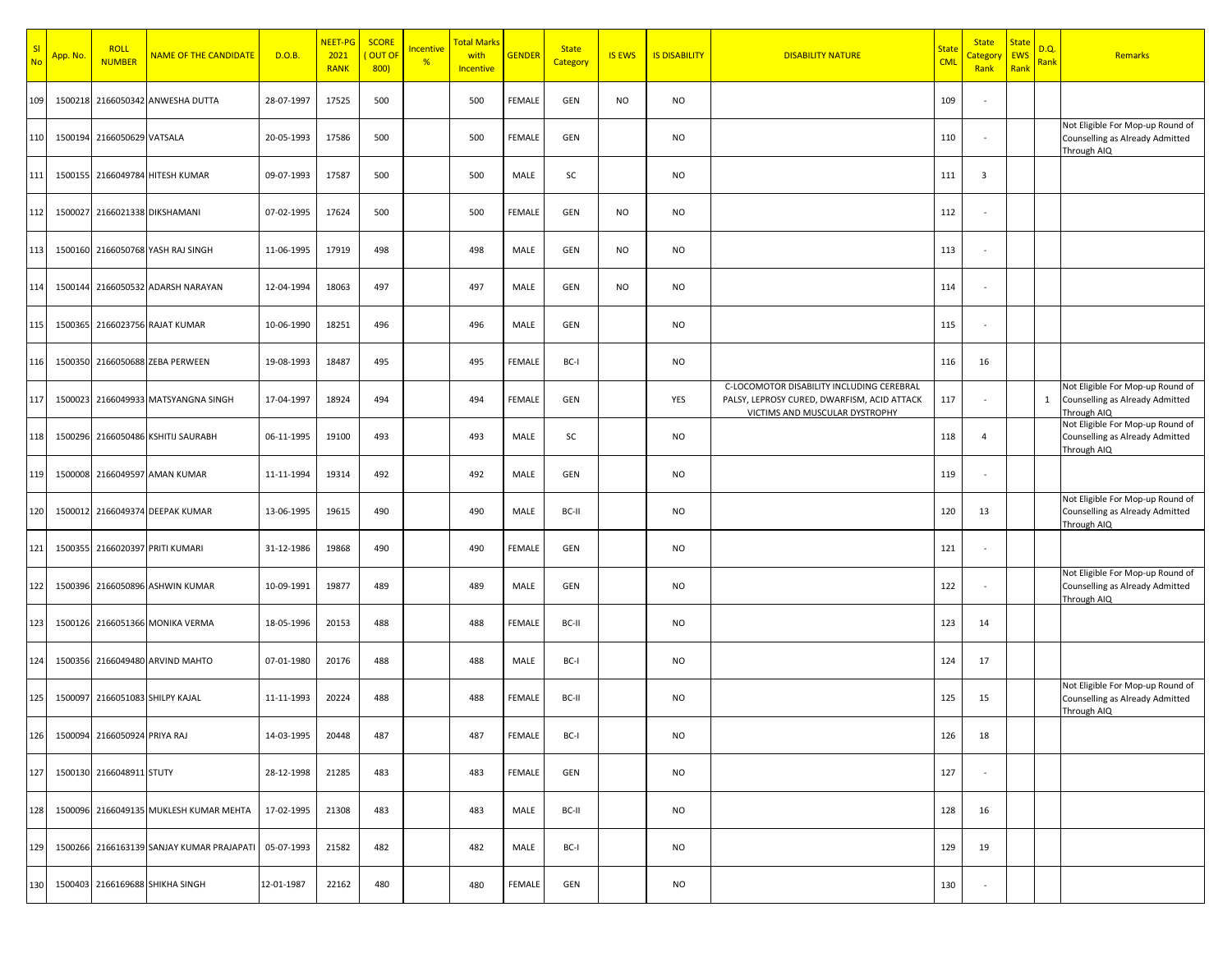| SI<br><b>No</b> | <mark>App. No.</mark> | <b>ROLL</b><br><b>NUMBER</b>     | <b>NAME OF THE CANDIDATE</b>              | D.O.B.     | NEET-PG<br>2021<br><b>RANK</b> | <b>SCORE</b><br>OUT OI<br>800) | Incentive<br>% | <mark>Total Marks</mark><br>with<br>Incentive | <b>GENDER</b> | <b>State</b><br>Category | <b>IS EWS</b> | <b>IS DISABILITY</b> | <b>DISABILITY NATURE</b>                                                                                                   | <b>State</b><br><b>CML</b> | <b>State</b><br>Category<br>Rank | <b>State</b><br><b>EWS</b><br>Rank | D.Q.<br><b>Rank</b> | Remarks                                                                              |
|-----------------|-----------------------|----------------------------------|-------------------------------------------|------------|--------------------------------|--------------------------------|----------------|-----------------------------------------------|---------------|--------------------------|---------------|----------------------|----------------------------------------------------------------------------------------------------------------------------|----------------------------|----------------------------------|------------------------------------|---------------------|--------------------------------------------------------------------------------------|
| 109             | 1500218               |                                  | 2166050342 ANWESHA DUTTA                  | 28-07-1997 | 17525                          | 500                            |                | 500                                           | FEMALE        | GEN                      | NO            | <b>NO</b>            |                                                                                                                            | 109                        | $\sim$                           |                                    |                     |                                                                                      |
| 110             |                       | 1500194 2166050629 VATSALA       |                                           | 20-05-1993 | 17586                          | 500                            |                | 500                                           | FEMALE        | GEN                      |               | <b>NO</b>            |                                                                                                                            | 110                        | $\sim$                           |                                    |                     | Not Eligible For Mop-up Round of<br>Counselling as Already Admitted<br>Through AIQ   |
| 111             |                       |                                  | 1500155 2166049784 HITESH KUMAR           | 09-07-1993 | 17587                          | 500                            |                | 500                                           | MALE          | SC                       |               | <b>NO</b>            |                                                                                                                            | 111                        | $\overline{\mathbf{3}}$          |                                    |                     |                                                                                      |
| 112             | 1500027               |                                  | 2166021338 DIKSHAMANI                     | 07-02-1995 | 17624                          | 500                            |                | 500                                           | FEMALE        | GEN                      | <b>NO</b>     | <b>NO</b>            |                                                                                                                            | 112                        | $\sim$                           |                                    |                     |                                                                                      |
| 113             |                       |                                  | 1500160 2166050768 YASH RAJ SINGH         | 11-06-1995 | 17919                          | 498                            |                | 498                                           | MALE          | GEN                      | NO            | <b>NO</b>            |                                                                                                                            | 113                        | $\sim$                           |                                    |                     |                                                                                      |
| 114             |                       |                                  | 1500144 2166050532 ADARSH NARAYAN         | 12-04-1994 | 18063                          | 497                            |                | 497                                           | MALE          | GEN                      | NO            | <b>NO</b>            |                                                                                                                            | 114                        | $\sim$                           |                                    |                     |                                                                                      |
| 115             |                       |                                  | 1500365 2166023756 RAJAT KUMAR            | 10-06-1990 | 18251                          | 496                            |                | 496                                           | MALE          | GEN                      |               | <b>NO</b>            |                                                                                                                            | 115                        | $\sim$                           |                                    |                     |                                                                                      |
| 116             |                       |                                  | 1500350 2166050688 ZEBA PERWEEN           | 19-08-1993 | 18487                          | 495                            |                | 495                                           | FEMALE        | BC-I                     |               | <b>NO</b>            |                                                                                                                            | 116                        | 16                               |                                    |                     |                                                                                      |
| 117             | 1500023               |                                  | 2166049933 MATSYANGNA SINGH               | 17-04-1997 | 18924                          | 494                            |                | 494                                           | FEMALE        | GEN                      |               | YES                  | C-LOCOMOTOR DISABILITY INCLUDING CEREBRAL<br>PALSY, LEPROSY CURED, DWARFISM, ACID ATTACK<br>VICTIMS AND MUSCULAR DYSTROPHY | 117                        | $\sim$                           |                                    |                     | Not Eligible For Mop-up Round of<br>1 Counselling as Already Admitted<br>Through AIQ |
| 118             |                       |                                  | 1500296 2166050486 KSHITIJ SAURABH        | 06-11-1995 | 19100                          | 493                            |                | 493                                           | MALE          | SC                       |               | <b>NO</b>            |                                                                                                                            | 118                        | $\overline{4}$                   |                                    |                     | Not Eligible For Mop-up Round of<br>Counselling as Already Admitted<br>Through AIQ   |
| 119             | 1500008               |                                  | 2166049597 AMAN KUMAR                     | 11-11-1994 | 19314                          | 492                            |                | 492                                           | MALE          | GEN                      |               | <b>NO</b>            |                                                                                                                            | 119                        | $\sim$                           |                                    |                     |                                                                                      |
| 120             | 1500012               |                                  | 2166049374 DEEPAK KUMAR                   | 13-06-1995 | 19615                          | 490                            |                | 490                                           | MALE          | BC-II                    |               | <b>NO</b>            |                                                                                                                            | 120                        | 13                               |                                    |                     | Not Eligible For Mop-up Round of<br>Counselling as Already Admitted<br>Through AIQ   |
| 121             | 1500355               |                                  | 2166020397 PRITI KUMARI                   | 31-12-1986 | 19868                          | 490                            |                | 490                                           | FEMALE        | GEN                      |               | <b>NO</b>            |                                                                                                                            | 121                        | $\sim$                           |                                    |                     |                                                                                      |
| 122             |                       |                                  | 1500396 2166050896 ASHWIN KUMAR           | 10-09-1991 | 19877                          | 489                            |                | 489                                           | MALE          | GEN                      |               | <b>NO</b>            |                                                                                                                            | 122                        | $\sim$                           |                                    |                     | Not Eligible For Mop-up Round of<br>Counselling as Already Admitted<br>Through AIQ   |
| 123             |                       |                                  | 1500126 2166051366 MONIKA VERMA           | 18-05-1996 | 20153                          | 488                            |                | 488                                           | FEMALE        | BC-II                    |               | <b>NO</b>            |                                                                                                                            | 123                        | 14                               |                                    |                     |                                                                                      |
| 124             | 1500356               |                                  | 2166049480 ARVIND MAHTO                   | 07-01-1980 | 20176                          | 488                            |                | 488                                           | MALE          | BC-I                     |               | <b>NO</b>            |                                                                                                                            | 124                        | 17                               |                                    |                     |                                                                                      |
| 125             | 1500097               |                                  | 2166051083 SHILPY KAJAL                   | 11-11-1993 | 20224                          | 488                            |                | 488                                           | FEMALE        | BC-II                    |               | <b>NO</b>            |                                                                                                                            | 125                        | 15                               |                                    |                     | Not Eligible For Mop-up Round of<br>Counselling as Already Admitted<br>Through AIQ   |
|                 |                       | 126 1500094 2166050924 PRIYA RAJ |                                           | 14-03-1995 | 20448                          | 487                            |                | 487                                           | FEMALE        | BC-I                     |               | NO                   |                                                                                                                            | 126                        | 18                               |                                    |                     |                                                                                      |
| 127             |                       | 1500130 2166048911 STUTY         |                                           | 28-12-1998 | 21285                          | 483                            |                | 483                                           | FEMALE        | GEN                      |               | <b>NO</b>            |                                                                                                                            | 127                        | $\sim$                           |                                    |                     |                                                                                      |
| 128             |                       |                                  | 1500096 2166049135 MUKLESH KUMAR MEHTA    | 17-02-1995 | 21308                          | 483                            |                | 483                                           | MALE          | BC-II                    |               | <b>NO</b>            |                                                                                                                            | 128                        | 16                               |                                    |                     |                                                                                      |
| 129             |                       |                                  | 1500266 2166163139 SANJAY KUMAR PRAJAPATI | 05-07-1993 | 21582                          | 482                            |                | 482                                           | MALE          | BC-I                     |               | <b>NO</b>            |                                                                                                                            | 129                        | 19                               |                                    |                     |                                                                                      |
| 130             |                       |                                  | 1500403 2166169688 SHIKHA SINGH           | 12-01-1987 | 22162                          | 480                            |                | 480                                           | FEMALE        | GEN                      |               | NO                   |                                                                                                                            | 130                        | $\sim$                           |                                    |                     |                                                                                      |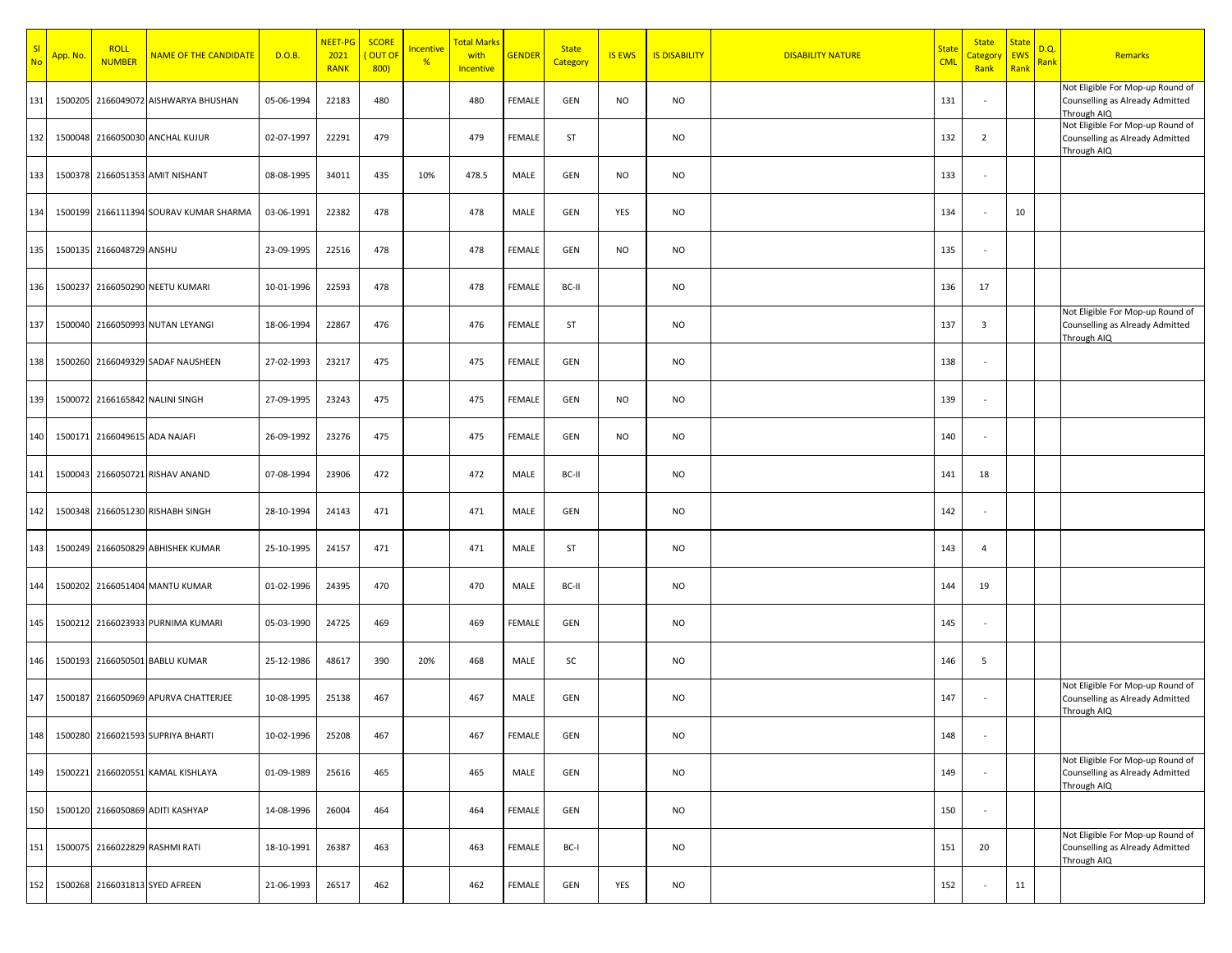| SI<br><b>No</b> | App. No. | <b>ROLL</b><br><b>NUMBER</b>  | <b>NAME OF THE CANDIDATE</b>           | D.O.B.     | NEET-PG<br>2021<br><b>RANK</b> | <b>SCORE</b><br>OUT OI<br>800) | Incentive<br>% | Total Marks<br>with<br>Incentive | <b>GENDER</b> | <b>State</b><br>Category | <b>IS EWS</b> | <b>IS DISABILITY</b> | <b>DISABILITY NATURE</b> | <b>State</b><br><b>CML</b> | <b>State</b><br>Category<br>Rank | <b>State</b><br><b>EWS</b><br>Rank | D.Q.<br><b>Rank</b> | Remarks                                                                            |
|-----------------|----------|-------------------------------|----------------------------------------|------------|--------------------------------|--------------------------------|----------------|----------------------------------|---------------|--------------------------|---------------|----------------------|--------------------------|----------------------------|----------------------------------|------------------------------------|---------------------|------------------------------------------------------------------------------------|
| 131             | 1500205  |                               | 2166049072 AISHWARYA BHUSHAN           | 05-06-1994 | 22183                          | 480                            |                | 480                              | FEMALE        | GEN                      | NO            | <b>NO</b>            |                          | 131                        | $\sim$                           |                                    |                     | Not Eligible For Mop-up Round of<br>Counselling as Already Admitted<br>Through AIQ |
| 132             |          |                               | 1500048 2166050030 ANCHAL KUJUR        | 02-07-1997 | 22291                          | 479                            |                | 479                              | FEMALE        | ST                       |               | <b>NO</b>            |                          | 132                        | 2                                |                                    |                     | Not Eligible For Mop-up Round of<br>Counselling as Already Admitted<br>Through AIQ |
| 133             |          |                               | 1500378 2166051353 AMIT NISHANT        | 08-08-1995 | 34011                          | 435                            | 10%            | 478.5                            | MALE          | GEN                      | <b>NO</b>     | <b>NO</b>            |                          | 133                        | $\sim$                           |                                    |                     |                                                                                    |
| 134             |          |                               | 1500199 2166111394 SOURAV KUMAR SHARMA | 03-06-1991 | 22382                          | 478                            |                | 478                              | MALE          | GEN                      | YES           | <b>NO</b>            |                          | 134                        | $\sim$                           | 10                                 |                     |                                                                                    |
| 135             |          | 1500135 2166048729 ANSHU      |                                        | 23-09-1995 | 22516                          | 478                            |                | 478                              | FEMALE        | GEN                      | NO            | <b>NO</b>            |                          | 135                        | $\sim$                           |                                    |                     |                                                                                    |
| 136             |          |                               | 1500237 2166050290 NEETU KUMARI        | 10-01-1996 | 22593                          | 478                            |                | 478                              | FEMALE        | BC-II                    |               | <b>NO</b>            |                          | 136                        | 17                               |                                    |                     |                                                                                    |
| 137             |          |                               | 1500040 2166050993 NUTAN LEYANGI       | 18-06-1994 | 22867                          | 476                            |                | 476                              | FEMALE        | ST                       |               | <b>NO</b>            |                          | 137                        | $\overline{3}$                   |                                    |                     | Not Eligible For Mop-up Round of<br>Counselling as Already Admitted<br>Through AIQ |
| 138             |          |                               | 1500260 2166049329 SADAF NAUSHEEN      | 27-02-1993 | 23217                          | 475                            |                | 475                              | FEMALE        | GEN                      |               | <b>NO</b>            |                          | 138                        | $\sim$                           |                                    |                     |                                                                                    |
| 139             |          |                               | 1500072 2166165842 NALINI SINGH        | 27-09-1995 | 23243                          | 475                            |                | 475                              | FEMALE        | GEN                      | <b>NO</b>     | <b>NO</b>            |                          | 139                        | $\sim$                           |                                    |                     |                                                                                    |
| 140             |          | 1500171 2166049615 ADA NAJAFI |                                        | 26-09-1992 | 23276                          | 475                            |                | 475                              | FEMALE        | GEN                      | NO            | <b>NO</b>            |                          | 140                        | $\sim$                           |                                    |                     |                                                                                    |
| 141             |          |                               | 1500043 2166050721 RISHAV ANAND        | 07-08-1994 | 23906                          | 472                            |                | 472                              | MALE          | BC-II                    |               | <b>NO</b>            |                          | 141                        | 18                               |                                    |                     |                                                                                    |
| 142             |          |                               | 1500348 2166051230 RISHABH SINGH       | 28-10-1994 | 24143                          | 471                            |                | 471                              | MALE          | GEN                      |               | <b>NO</b>            |                          | 142                        | $\sim$                           |                                    |                     |                                                                                    |
| 143             |          |                               | 1500249 2166050829 ABHISHEK KUMAR      | 25-10-1995 | 24157                          | 471                            |                | 471                              | MALE          | ST                       |               | <b>NO</b>            |                          | 143                        | $\overline{4}$                   |                                    |                     |                                                                                    |
| 144             |          |                               | 1500202 2166051404 MANTU KUMAR         | 01-02-1996 | 24395                          | 470                            |                | 470                              | MALE          | BC-II                    |               | <b>NO</b>            |                          | 144                        | 19                               |                                    |                     |                                                                                    |
| 145             | 1500212  |                               | 2166023933 PURNIMA KUMARI              | 05-03-1990 | 24725                          | 469                            |                | 469                              | FEMALE        | GEN                      |               | <b>NO</b>            |                          | 145                        | $\sim$                           |                                    |                     |                                                                                    |
| 146             |          |                               | 1500193 2166050501 BABLU KUMAR         | 25-12-1986 | 48617                          | 390                            | 20%            | 468                              | MALE          | SC                       |               | <b>NO</b>            |                          | 146                        | 5                                |                                    |                     |                                                                                    |
| 147             | 1500187  |                               | 2166050969 APURVA CHATTERJEE           | 10-08-1995 | 25138                          | 467                            |                | 467                              | MALE          | GEN                      |               | <b>NO</b>            |                          | 147                        | $\sim$                           |                                    |                     | Not Eligible For Mop-up Round of<br>Counselling as Already Admitted<br>Through AIQ |
| 148             |          |                               | 1500280 2166021593 SUPRIYA BHARTI      | 10-02-1996 | 25208                          | 467                            |                | 467                              | FEMALE        | GEN                      |               | <b>NO</b>            |                          | 148                        | $\sim$                           |                                    |                     |                                                                                    |
| 149             | 1500221  |                               | 2166020551 KAMAL KISHLAYA              | 01-09-1989 | 25616                          | 465                            |                | 465                              | MALE          | GEN                      |               | <b>NO</b>            |                          | 149                        | $\sim$                           |                                    |                     | Not Eligible For Mop-up Round of<br>Counselling as Already Admitted<br>Through AIQ |
| 150             |          |                               | 1500120 2166050869 ADITI KASHYAP       | 14-08-1996 | 26004                          | 464                            |                | 464                              | FEMALE        | GEN                      |               | <b>NO</b>            |                          | 150                        | $\sim$                           |                                    |                     |                                                                                    |
| 151             |          |                               | 1500075 2166022829 RASHMI RATI         | 18-10-1991 | 26387                          | 463                            |                | 463                              | FEMALE        | BC-I                     |               | <b>NO</b>            |                          | 151                        | 20                               |                                    |                     | Not Eligible For Mop-up Round of<br>Counselling as Already Admitted<br>Through AIQ |
| 152             | 1500268  |                               | 2166031813 SYED AFREEN                 | 21-06-1993 | 26517                          | 462                            |                | 462                              | FEMALE        | GEN                      | YES           | <b>NO</b>            |                          | 152                        |                                  | 11                                 |                     |                                                                                    |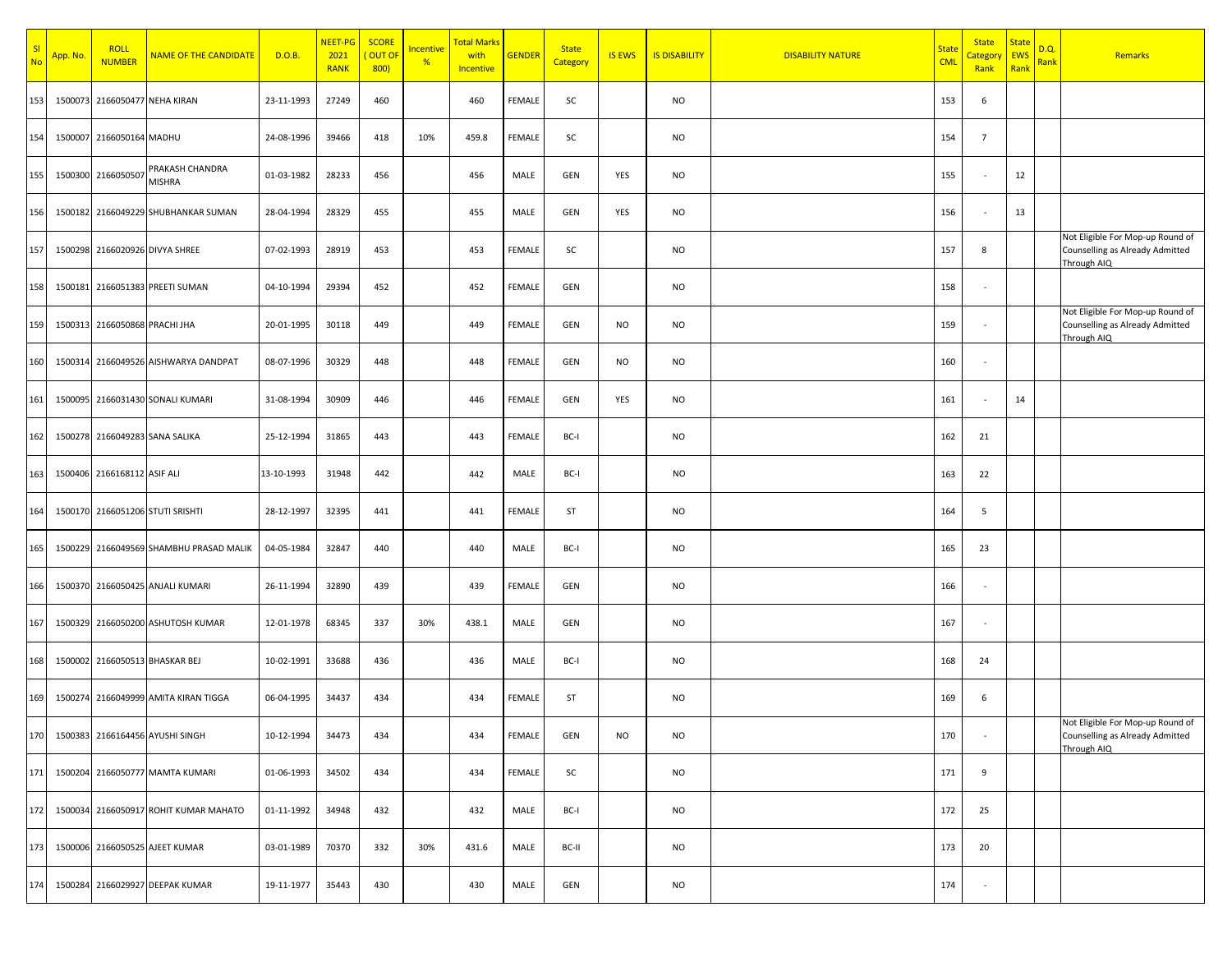| SI<br><b>No</b> | App. No. | <b>ROLL</b><br><b>NUMBER</b>  | <b>NAME OF THE CANDIDATE</b>          | D.O.B.     | NEET-PG<br>2021<br><b>RANK</b> | <b>SCORE</b><br>OUT OF<br>800) | Incentive<br>% | <b>Total Marks</b><br>with<br>Incentive | <b>GENDER</b> | <b>State</b><br>Category | <b>IS EWS</b> | <b>IS DISABILITY</b> | <b>DISABILITY NATURE</b> | <b>State</b><br><b>CML</b> | <b>State</b><br><b>Category</b><br>Rank | <b>State</b><br><b>EWS</b><br>Rank | D.Q.<br>Rank | Remarks                                                                            |
|-----------------|----------|-------------------------------|---------------------------------------|------------|--------------------------------|--------------------------------|----------------|-----------------------------------------|---------------|--------------------------|---------------|----------------------|--------------------------|----------------------------|-----------------------------------------|------------------------------------|--------------|------------------------------------------------------------------------------------|
| 153             | 1500073  |                               | 2166050477 NEHA KIRAN                 | 23-11-1993 | 27249                          | 460                            |                | 460                                     | FEMALE        | SC                       |               | <b>NO</b>            |                          | 153                        | 6                                       |                                    |              |                                                                                    |
| 154             |          | 1500007 2166050164 MADHU      |                                       | 24-08-1996 | 39466                          | 418                            | 10%            | 459.8                                   | FEMALE        | SC                       |               | <b>NO</b>            |                          | 154                        | $7\overline{ }$                         |                                    |              |                                                                                    |
| 155             | 1500300  | 2166050507                    | PRAKASH CHANDRA<br><b>MISHRA</b>      | 01-03-1982 | 28233                          | 456                            |                | 456                                     | MALE          | GEN                      | YES           | <b>NO</b>            |                          | 155                        |                                         | 12                                 |              |                                                                                    |
| 156             |          |                               | 1500182 2166049229 SHUBHANKAR SUMAN   | 28-04-1994 | 28329                          | 455                            |                | 455                                     | MALE          | GEN                      | YES           | NO                   |                          | 156                        |                                         | 13                                 |              |                                                                                    |
| 157             |          |                               | 1500298 2166020926 DIVYA SHREE        | 07-02-1993 | 28919                          | 453                            |                | 453                                     | FEMALE        | SC                       |               | NO                   |                          | 157                        | 8                                       |                                    |              | Not Eligible For Mop-up Round of<br>Counselling as Already Admitted<br>Through AIQ |
| 158             |          |                               | 1500181 2166051383 PREETI SUMAN       | 04-10-1994 | 29394                          | 452                            |                | 452                                     | FEMALE        | GEN                      |               | NO                   |                          | 158                        |                                         |                                    |              |                                                                                    |
| 159             |          | 1500313 2166050868 PRACHI JHA |                                       | 20-01-1995 | 30118                          | 449                            |                | 449                                     | FEMALE        | GEN                      | NO.           | <b>NO</b>            |                          | 159                        |                                         |                                    |              | Not Eligible For Mop-up Round of<br>Counselling as Already Admitted<br>Through AIQ |
| 160             |          |                               | 1500314 2166049526 AISHWARYA DANDPAT  | 08-07-1996 | 30329                          | 448                            |                | 448                                     | FEMALE        | GEN                      | NO.           | <b>NO</b>            |                          | 160                        |                                         |                                    |              |                                                                                    |
| 161             |          |                               | 1500095 2166031430 SONALI KUMARI      | 31-08-1994 | 30909                          | 446                            |                | 446                                     | FEMALE        | GEN                      | YES           | <b>NO</b>            |                          | 161                        |                                         | 14                                 |              |                                                                                    |
| 162             |          |                               | 1500278 2166049283 SANA SALIKA        | 25-12-1994 | 31865                          | 443                            |                | 443                                     | FEMALE        | BC-I                     |               | <b>NO</b>            |                          | 162                        | 21                                      |                                    |              |                                                                                    |
| 163             |          | 1500406 2166168112 ASIF ALI   |                                       | 13-10-1993 | 31948                          | 442                            |                | 442                                     | MALE          | BC-I                     |               | NO                   |                          | 163                        | 22                                      |                                    |              |                                                                                    |
| 164             |          |                               | 1500170 2166051206 STUTI SRISHTI      | 28-12-1997 | 32395                          | 441                            |                | 441                                     | <b>FEMALE</b> | ST                       |               | NO                   |                          | 164                        | 5                                       |                                    |              |                                                                                    |
| 165             | 1500229  |                               | 2166049569 SHAMBHU PRASAD MALIK       | 04-05-1984 | 32847                          | 440                            |                | 440                                     | MALE          | BC-I                     |               | NO                   |                          | 165                        | 23                                      |                                    |              |                                                                                    |
| 166             |          |                               | 1500370 2166050425 ANJALI KUMARI      | 26-11-1994 | 32890                          | 439                            |                | 439                                     | FEMALE        | GEN                      |               | NO                   |                          | 166                        |                                         |                                    |              |                                                                                    |
| 167             |          |                               | 1500329 2166050200 ASHUTOSH KUMAR     | 12-01-1978 | 68345                          | 337                            | 30%            | 438.1                                   | MALE          | GEN                      |               | <b>NO</b>            |                          | 167                        |                                         |                                    |              |                                                                                    |
| 168             |          |                               | 1500002 2166050513 BHASKAR BEJ        | 10-02-1991 | 33688                          | 436                            |                | 436                                     | MALE          | BC-I                     |               | <b>NO</b>            |                          | 168                        | 24                                      |                                    |              |                                                                                    |
| 169             | 1500274  |                               | 2166049999 AMITA KIRAN TIGGA          | 06-04-1995 | 34437                          | 434                            |                | 434                                     | FEMALE        | ST                       |               | <b>NO</b>            |                          | 169                        | 6                                       |                                    |              |                                                                                    |
|                 |          |                               | 170 1500383 2166164456 AYUSHI SINGH   | 10-12-1994 | 34473                          | 434                            |                | 434                                     | FEMALE        | GEN                      | <b>NO</b>     | <b>NO</b>            |                          | 170                        |                                         |                                    |              | Not Eligible For Mop-up Round of<br>Counselling as Already Admitted<br>Through AIQ |
| 171             |          |                               | 1500204 2166050777 MAMTA KUMARI       | 01-06-1993 | 34502                          | 434                            |                | 434                                     | FEMALE        | SC                       |               | <b>NO</b>            |                          | 171                        | 9                                       |                                    |              |                                                                                    |
| 172             |          |                               | 1500034 2166050917 ROHIT KUMAR MAHATO | 01-11-1992 | 34948                          | 432                            |                | 432                                     | MALE          | BC-I                     |               | NO                   |                          | 172                        | 25                                      |                                    |              |                                                                                    |
| 173             |          |                               | 1500006 2166050525 AJEET KUMAR        | 03-01-1989 | 70370                          | 332                            | 30%            | 431.6                                   | MALE          | BC-II                    |               | NO                   |                          | 173                        | 20                                      |                                    |              |                                                                                    |
| 174             |          |                               | 1500284 2166029927 DEEPAK KUMAR       | 19-11-1977 | 35443                          | 430                            |                | 430                                     | MALE          | GEN                      |               | NO                   |                          | 174                        |                                         |                                    |              |                                                                                    |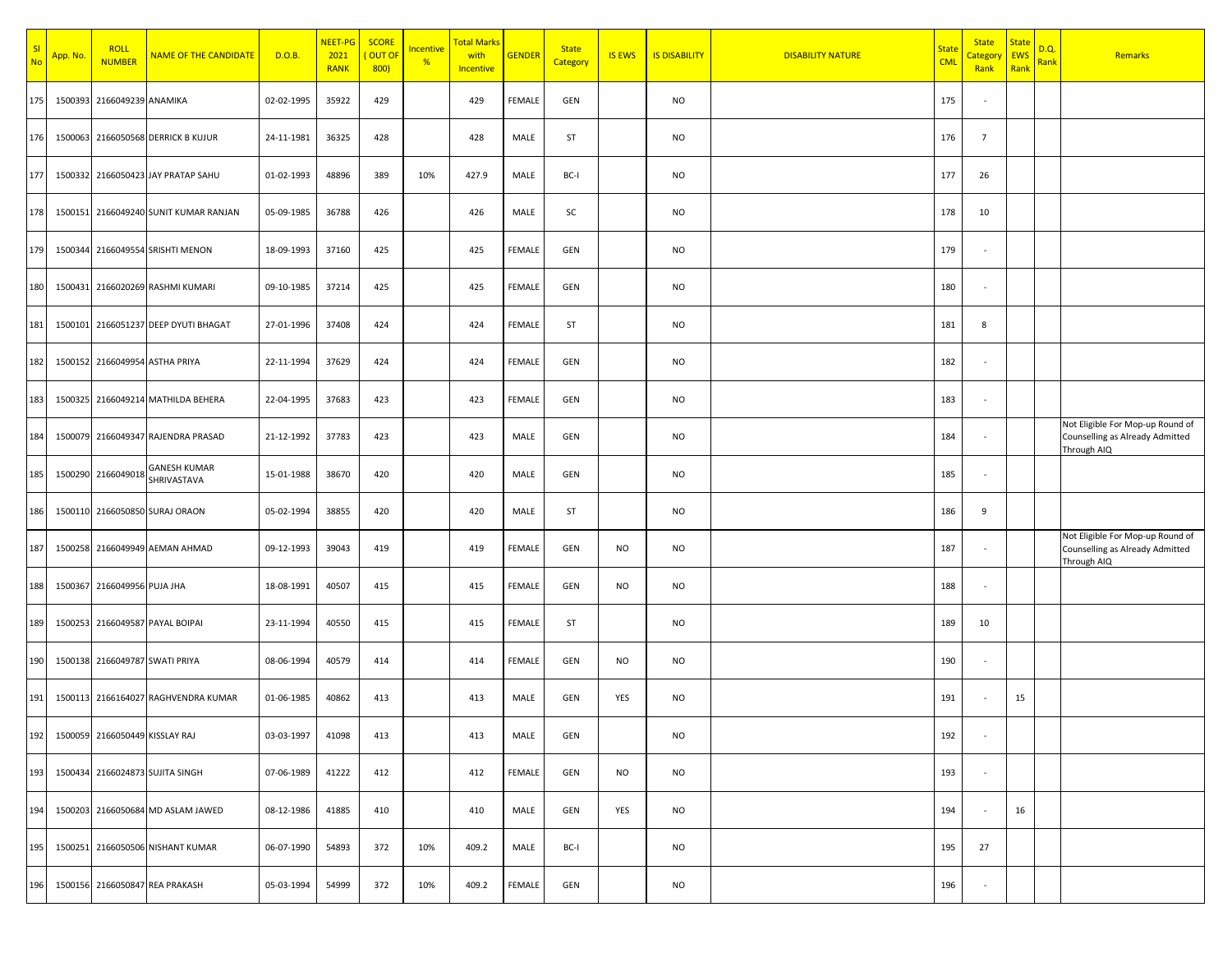| SI<br><b>No</b> | App. No. | <b>ROLL</b><br><b>NUMBER</b> | <b>NAME OF THE CANDIDATE</b>          | D.O.B.     | NEET-PG<br>2021<br><b>RANK</b> | <b>SCORE</b><br>OUT OF<br>800) | <b>Incentive</b><br>% | <b>Total Marks</b><br>with<br>Incentive | <b>GENDER</b> | <b>State</b><br>Category | <b>IS EWS</b> | <b>IS DISABILITY</b> | <b>DISABILITY NATURE</b> | <b>State</b><br><b>CML</b> | <b>State</b><br>Category<br>Rank | <b>State</b><br><b>EWS</b><br>Rank | D.Q.<br>Rank | Remarks                                                                            |
|-----------------|----------|------------------------------|---------------------------------------|------------|--------------------------------|--------------------------------|-----------------------|-----------------------------------------|---------------|--------------------------|---------------|----------------------|--------------------------|----------------------------|----------------------------------|------------------------------------|--------------|------------------------------------------------------------------------------------|
| 175             |          | 1500393 2166049239 ANAMIKA   |                                       | 02-02-1995 | 35922                          | 429                            |                       | 429                                     | FEMALE        | GEN                      |               | <b>NO</b>            |                          | 175                        |                                  |                                    |              |                                                                                    |
| 176             |          |                              | 1500063 2166050568 DERRICK B KUJUR    | 24-11-1981 | 36325                          | 428                            |                       | 428                                     | MALE          | ST                       |               | <b>NO</b>            |                          | 176                        | $7\overline{ }$                  |                                    |              |                                                                                    |
| 177             |          |                              | 1500332 2166050423 JAY PRATAP SAHU    | 01-02-1993 | 48896                          | 389                            | 10%                   | 427.9                                   | MALE          | BC-I                     |               | <b>NO</b>            |                          | 177                        | 26                               |                                    |              |                                                                                    |
| 178             |          |                              | 1500151 2166049240 SUNIT KUMAR RANJAN | 05-09-1985 | 36788                          | 426                            |                       | 426                                     | MALE          | SC                       |               | <b>NO</b>            |                          | 178                        | 10                               |                                    |              |                                                                                    |
| 179             |          |                              | 1500344 2166049554 SRISHTI MENON      | 18-09-1993 | 37160                          | 425                            |                       | 425                                     | FEMALE        | GEN                      |               | <b>NO</b>            |                          | 179                        | $\sim$                           |                                    |              |                                                                                    |
| 180             |          |                              | 1500431 2166020269 RASHMI KUMARI      | 09-10-1985 | 37214                          | 425                            |                       | 425                                     | FEMALE        | GEN                      |               | <b>NO</b>            |                          | 180                        | $\sim$                           |                                    |              |                                                                                    |
| 181             |          |                              | 1500101 2166051237 DEEP DYUTI BHAGAT  | 27-01-1996 | 37408                          | 424                            |                       | 424                                     | FEMALE        | ST                       |               | <b>NO</b>            |                          | 181                        | 8                                |                                    |              |                                                                                    |
| 182             |          |                              | 1500152 2166049954 ASTHA PRIYA        | 22-11-1994 | 37629                          | 424                            |                       | 424                                     | FEMALE        | GEN                      |               | <b>NO</b>            |                          | 182                        | $\sim$                           |                                    |              |                                                                                    |
| 183             |          |                              | 1500325 2166049214 MATHILDA BEHERA    | 22-04-1995 | 37683                          | 423                            |                       | 423                                     | FEMALE        | GEN                      |               | <b>NO</b>            |                          | 183                        | $\sim$                           |                                    |              |                                                                                    |
| 184             |          |                              | 1500079 2166049347 RAJENDRA PRASAD    | 21-12-1992 | 37783                          | 423                            |                       | 423                                     | MALE          | GEN                      |               | <b>NO</b>            |                          | 184                        | $\sim$                           |                                    |              | Not Eligible For Mop-up Round of<br>Counselling as Already Admitted<br>Through AIQ |
| 185             |          | 1500290 2166049018           | <b>GANESH KUMAR</b><br>SHRIVASTAVA    | 15-01-1988 | 38670                          | 420                            |                       | 420                                     | MALE          | GEN                      |               | <b>NO</b>            |                          | 185                        |                                  |                                    |              |                                                                                    |
| 186             |          |                              | 1500110 2166050850 SURAJ ORAON        | 05-02-1994 | 38855                          | 420                            |                       | 420                                     | MALE          | ST                       |               | <b>NO</b>            |                          | 186                        | 9                                |                                    |              |                                                                                    |
| 187             |          |                              | 1500258 2166049949 AEMAN AHMAD        | 09-12-1993 | 39043                          | 419                            |                       | 419                                     | FEMALE        | GEN                      | <b>NO</b>     | <b>NO</b>            |                          | 187                        | $\sim$                           |                                    |              | Not Eligible For Mop-up Round of<br>Counselling as Already Admitted<br>Through AIQ |
| 188             |          | 1500367 2166049956 PUJA JHA  |                                       | 18-08-1991 | 40507                          | 415                            |                       | 415                                     | FEMALE        | GEN                      | <b>NO</b>     | <b>NO</b>            |                          | 188                        | $\sim$                           |                                    |              |                                                                                    |
| 189             |          |                              | 1500253 2166049587 PAYAL BOIPAI       | 23-11-1994 | 40550                          | 415                            |                       | 415                                     | FEMALE        | ST                       |               | <b>NO</b>            |                          | 189                        | 10                               |                                    |              |                                                                                    |
| 190             |          |                              | 1500138 2166049787 SWATI PRIYA        | 08-06-1994 | 40579                          | 414                            |                       | 414                                     | FEMALE        | GEN                      | <b>NO</b>     | <b>NO</b>            |                          | 190                        | $\sim$                           |                                    |              |                                                                                    |
| 191             |          |                              | 1500113 2166164027 RAGHVENDRA KUMAR   | 01-06-1985 | 40862                          | 413                            |                       | 413                                     | MALE          | GEN                      | YES           | <b>NO</b>            |                          | 191                        |                                  | 15                                 |              |                                                                                    |
| 192             |          |                              | 1500059 2166050449 KISSLAY RAJ        | 03-03-1997 | 41098                          | 413                            |                       | 413                                     | MALE          | GEN                      |               | <b>NO</b>            |                          | 192                        |                                  |                                    |              |                                                                                    |
| 193             |          |                              | 1500434 2166024873 SUJITA SINGH       | 07-06-1989 | 41222                          | 412                            |                       | 412                                     | FEMALE        | GEN                      | NO            | <b>NO</b>            |                          | 193                        | $\sim$                           |                                    |              |                                                                                    |
| 194             |          |                              | 1500203 2166050684 MD ASLAM JAWED     | 08-12-1986 | 41885                          | 410                            |                       | 410                                     | MALE          | GEN                      | YES           | <b>NO</b>            |                          | 194                        | $\sim$                           | 16                                 |              |                                                                                    |
| 195             |          |                              | 1500251 2166050506 NISHANT KUMAR      | 06-07-1990 | 54893                          | 372                            | 10%                   | 409.2                                   | MALE          | BC-I                     |               | <b>NO</b>            |                          | 195                        | 27                               |                                    |              |                                                                                    |
| 196             |          |                              | 1500156 2166050847 REA PRAKASH        | 05-03-1994 | 54999                          | 372                            | 10%                   | 409.2                                   | FEMALE        | GEN                      |               | <b>NO</b>            |                          | 196                        | $\sim$                           |                                    |              |                                                                                    |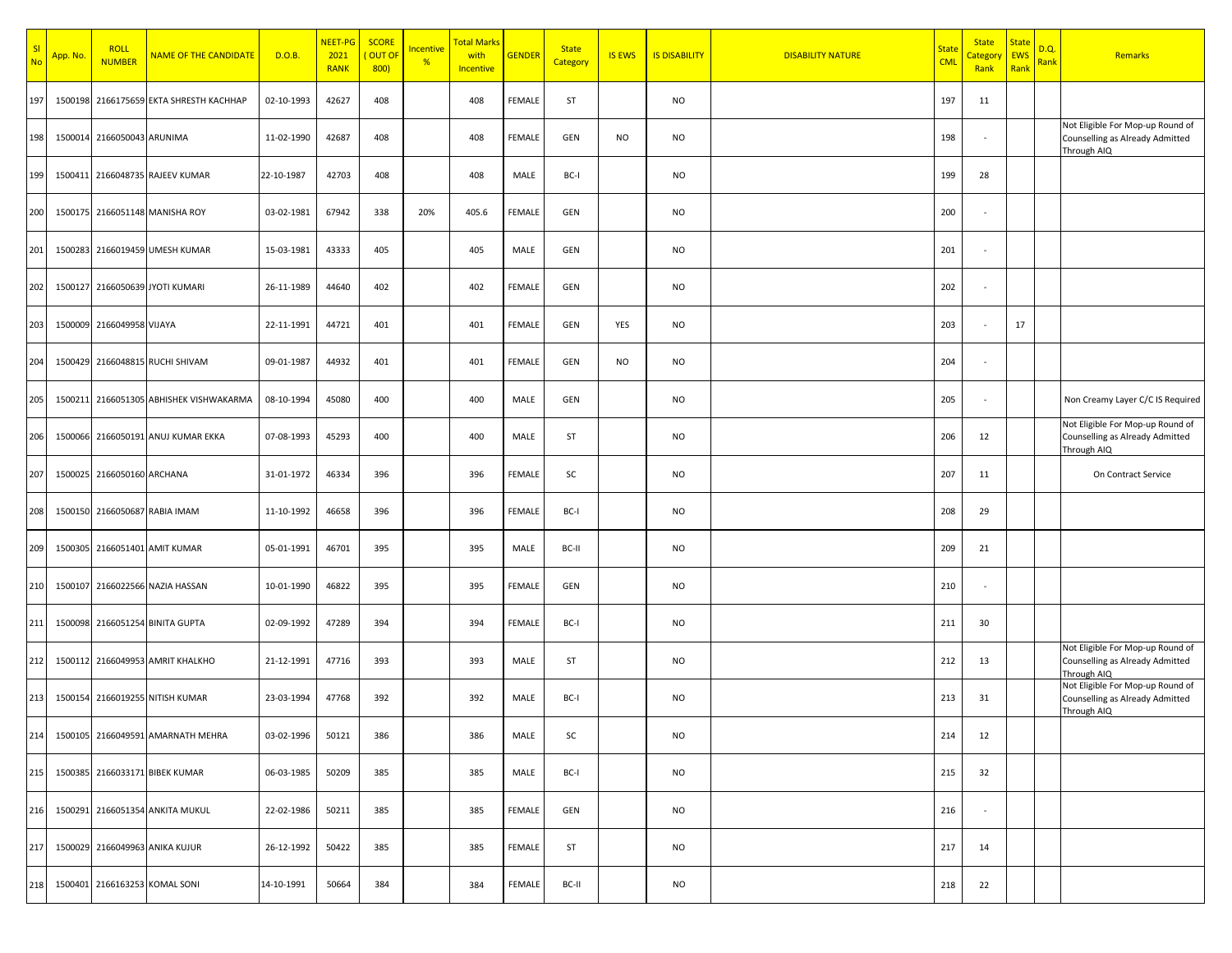| SI<br><b>No</b> | App. No. | <b>ROLL</b><br><b>NUMBER</b> | <b>NAME OF THE CANDIDATE</b>            | D.O.B.     | NEET-PG<br>2021<br><b>RANK</b> | <b>SCORE</b><br>OUT OF<br>800) | <b>Incentive</b><br>% | <b>Total Marks</b><br>with<br><b>Incentive</b> | <b>GENDER</b> | <b>State</b><br>Category | <b>IS EWS</b> | <b>IS DISABILITY</b> | <b>DISABILITY NATURE</b> | <b>State</b><br><b>CML</b> | <b>State</b><br><mark>Category</mark><br>Rank | <b>State</b><br><b>EWS</b><br>Rank | D.Q.<br><b>Rank</b> | Remarks                                                                            |
|-----------------|----------|------------------------------|-----------------------------------------|------------|--------------------------------|--------------------------------|-----------------------|------------------------------------------------|---------------|--------------------------|---------------|----------------------|--------------------------|----------------------------|-----------------------------------------------|------------------------------------|---------------------|------------------------------------------------------------------------------------|
| 197             | 1500198  |                              | 2166175659 EKTA SHRESTH KACHHAP         | 02-10-1993 | 42627                          | 408                            |                       | 408                                            | <b>FEMALE</b> | ST                       |               | <b>NO</b>            |                          | 197                        | 11                                            |                                    |                     |                                                                                    |
| 198             |          | 1500014 2166050043 ARUNIMA   |                                         | 11-02-1990 | 42687                          | 408                            |                       | 408                                            | <b>FEMALE</b> | GEN                      | <b>NO</b>     | <b>NO</b>            |                          | 198                        | $\sim$                                        |                                    |                     | Not Eligible For Mop-up Round of<br>Counselling as Already Admitted<br>Through AIQ |
| 199             |          |                              | 1500411 2166048735 RAJEEV KUMAR         | 22-10-1987 | 42703                          | 408                            |                       | 408                                            | MALE          | BC-I                     |               | <b>NO</b>            |                          | 199                        | 28                                            |                                    |                     |                                                                                    |
| 200             |          |                              | 1500175 2166051148 MANISHA ROY          | 03-02-1981 | 67942                          | 338                            | 20%                   | 405.6                                          | <b>FEMALE</b> | GEN                      |               | <b>NO</b>            |                          | 200                        |                                               |                                    |                     |                                                                                    |
| 201             |          |                              | 1500283 2166019459 UMESH KUMAR          | 15-03-1981 | 43333                          | 405                            |                       | 405                                            | MALE          | GEN                      |               | <b>NO</b>            |                          | 201                        |                                               |                                    |                     |                                                                                    |
| 202             |          |                              | 1500127 2166050639 JYOTI KUMARI         | 26-11-1989 | 44640                          | 402                            |                       | 402                                            | <b>FEMALE</b> | GEN                      |               | <b>NO</b>            |                          | 202                        | $\sim$                                        |                                    |                     |                                                                                    |
| 203             |          | 1500009 2166049958 VIJAYA    |                                         | 22-11-1991 | 44721                          | 401                            |                       | 401                                            | <b>FEMALE</b> | GEN                      | YES           | <b>NO</b>            |                          | 203                        |                                               | 17                                 |                     |                                                                                    |
| 204             |          |                              | 1500429 2166048815 RUCHI SHIVAM         | 09-01-1987 | 44932                          | 401                            |                       | 401                                            | <b>FEMALE</b> | GEN                      | <b>NO</b>     | <b>NO</b>            |                          | 204                        | $\sim$                                        |                                    |                     |                                                                                    |
| 205             |          |                              | 1500211 2166051305 ABHISHEK VISHWAKARMA | 08-10-1994 | 45080                          | 400                            |                       | 400                                            | MALE          | GEN                      |               | <b>NO</b>            |                          | 205                        | $\sim$                                        |                                    |                     | Non Creamy Layer C/C IS Required                                                   |
| 206             |          |                              | 1500066 2166050191 ANUJ KUMAR EKKA      | 07-08-1993 | 45293                          | 400                            |                       | 400                                            | MALE          | ST                       |               | <b>NO</b>            |                          | 206                        | 12                                            |                                    |                     | Not Eligible For Mop-up Round of<br>Counselling as Already Admitted<br>Through AIQ |
| 207             |          | 1500025 2166050160 ARCHANA   |                                         | 31-01-1972 | 46334                          | 396                            |                       | 396                                            | <b>FEMALE</b> | SC                       |               | <b>NO</b>            |                          | 207                        | 11                                            |                                    |                     | On Contract Service                                                                |
| 208             |          |                              | 1500150 2166050687 RABIA IMAM           | 11-10-1992 | 46658                          | 396                            |                       | 396                                            | <b>FEMALE</b> | BC-I                     |               | <b>NO</b>            |                          | 208                        | 29                                            |                                    |                     |                                                                                    |
| 209             |          |                              | 1500305 2166051401 AMIT KUMAR           | 05-01-1991 | 46701                          | 395                            |                       | 395                                            | MALE          | BC-II                    |               | <b>NO</b>            |                          | 209                        | 21                                            |                                    |                     |                                                                                    |
| 210             | 1500107  |                              | 2166022566 NAZIA HASSAN                 | 10-01-1990 | 46822                          | 395                            |                       | 395                                            | <b>FEMALE</b> | GEN                      |               | <b>NO</b>            |                          | 210                        | $\sim$                                        |                                    |                     |                                                                                    |
| 211             |          |                              | 1500098 2166051254 BINITA GUPTA         | 02-09-1992 | 47289                          | 394                            |                       | 394                                            | <b>FEMALE</b> | BC-I                     |               | <b>NO</b>            |                          | 211                        | 30                                            |                                    |                     |                                                                                    |
| 212             |          |                              | 1500112 2166049953 AMRIT KHALKHO        | 21-12-1991 | 47716                          | 393                            |                       | 393                                            | MALE          | ST                       |               | NO                   |                          | 212                        | 13                                            |                                    |                     | Not Eligible For Mop-up Round of<br>Counselling as Already Admitted<br>Through AIQ |
| 213             |          |                              | 1500154 2166019255 NITISH KUMAR         | 23-03-1994 | 47768                          | 392                            |                       | 392                                            | MALE          | BC-I                     |               | NO                   |                          | 213                        | 31                                            |                                    |                     | Not Eligible For Mop-up Round of<br>Counselling as Already Admitted<br>Through AIQ |
|                 |          |                              | 214 1500105 2166049591 AMARNATH MEHRA   | 03-02-1996 | 50121                          | 386                            |                       | 386                                            | MALE          | SC                       |               | NO                   |                          | 214                        | 12                                            |                                    |                     |                                                                                    |
| 215             |          |                              | 1500385 2166033171 BIBEK KUMAR          | 06-03-1985 | 50209                          | 385                            |                       | 385                                            | MALE          | BC-I                     |               | NO                   |                          | 215                        | 32                                            |                                    |                     |                                                                                    |
| 216             |          |                              | 1500291 2166051354 ANKITA MUKUL         | 22-02-1986 | 50211                          | 385                            |                       | 385                                            | FEMALE        | GEN                      |               | NO                   |                          | 216                        | $\sim$                                        |                                    |                     |                                                                                    |
| 217             |          |                              | 1500029 2166049963 ANIKA KUJUR          | 26-12-1992 | 50422                          | 385                            |                       | 385                                            | FEMALE        | ST                       |               | NO                   |                          | 217                        | 14                                            |                                    |                     |                                                                                    |
|                 |          |                              | 218 1500401 2166163253 KOMAL SONI       | 14-10-1991 | 50664                          | 384                            |                       | 384                                            | FEMALE        | BC-II                    |               | NO                   |                          | 218                        | 22                                            |                                    |                     |                                                                                    |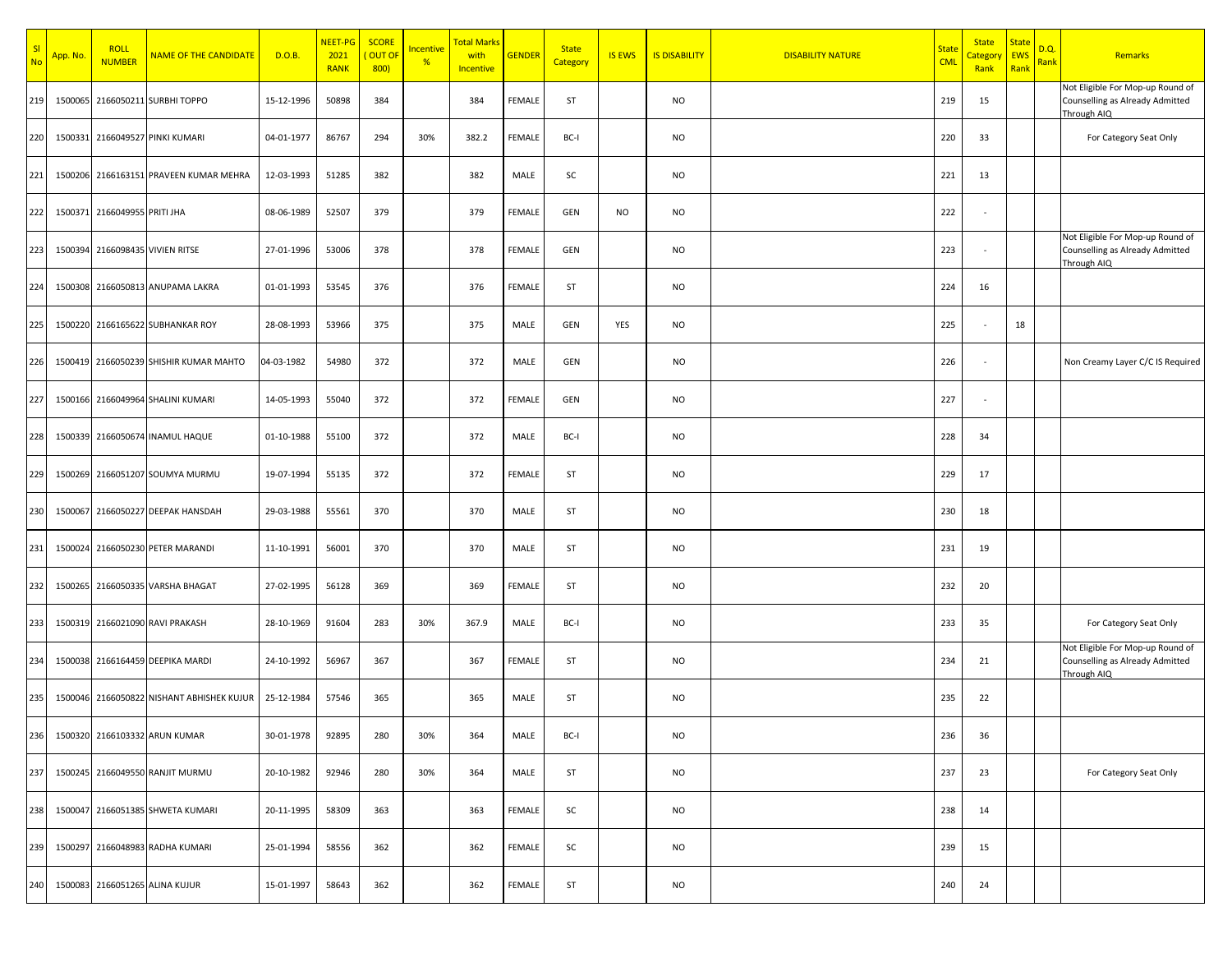| SI<br><b>No</b> | App. No. | <b>ROLL</b><br><b>NUMBER</b> | <b>NAME OF THE CANDIDATE</b>           | D.O.B.     | NEET-PG<br>2021<br><b>RANK</b> | <b>SCORE</b><br>OUT OF<br>800) | <b>Incentive</b><br>% | <b>Total Marks</b><br>with<br>Incentive | <b>GENDER</b> | <b>State</b><br><b>Category</b> | <b>IS EWS</b> | <b>IS DISABILITY</b> | <b>DISABILITY NATURE</b> | <b>State</b><br><b>CML</b> | <b>State</b><br>Category<br>Rank | <b>State</b><br><b>EWS</b><br>Rank | D.Q.<br>Rank | Remarks                                                                            |
|-----------------|----------|------------------------------|----------------------------------------|------------|--------------------------------|--------------------------------|-----------------------|-----------------------------------------|---------------|---------------------------------|---------------|----------------------|--------------------------|----------------------------|----------------------------------|------------------------------------|--------------|------------------------------------------------------------------------------------|
| 219             | 1500065  |                              | 2166050211 SURBHI TOPPO                | 15-12-1996 | 50898                          | 384                            |                       | 384                                     | FEMALE        | ST                              |               | <b>NO</b>            |                          | 219                        | 15                               |                                    |              | Not Eligible For Mop-up Round of<br>Counselling as Already Admitted<br>Through AIQ |
| 220             |          |                              | 1500331 2166049527 PINKI KUMARI        | 04-01-1977 | 86767                          | 294                            | 30%                   | 382.2                                   | FEMALE        | BC-I                            |               | <b>NO</b>            |                          | 220                        | 33                               |                                    |              | For Category Seat Only                                                             |
| 221             |          |                              | 1500206 2166163151 PRAVEEN KUMAR MEHRA | 12-03-1993 | 51285                          | 382                            |                       | 382                                     | MALE          | SC                              |               | <b>NO</b>            |                          | 221                        | 13                               |                                    |              |                                                                                    |
| 222             |          | 1500371 2166049955 PRITI JHA |                                        | 08-06-1989 | 52507                          | 379                            |                       | 379                                     | FEMALE        | GEN                             | <b>NO</b>     | <b>NO</b>            |                          | 222                        | $\sim$                           |                                    |              |                                                                                    |
| 223             |          |                              | 1500394 2166098435 VIVIEN RITSE        | 27-01-1996 | 53006                          | 378                            |                       | 378                                     | FEMALE        | GEN                             |               | NO                   |                          | 223                        |                                  |                                    |              | Not Eligible For Mop-up Round of<br>Counselling as Already Admitted<br>Through AIQ |
| 224             |          |                              | 1500308 2166050813 ANUPAMA LAKRA       | 01-01-1993 | 53545                          | 376                            |                       | 376                                     | FEMALE        | ST                              |               | <b>NO</b>            |                          | 224                        | 16                               |                                    |              |                                                                                    |
| 225             |          |                              | 1500220 2166165622 SUBHANKAR ROY       | 28-08-1993 | 53966                          | 375                            |                       | 375                                     | MALE          | GEN                             | YES           | NO                   |                          | 225                        |                                  | 18                                 |              |                                                                                    |
| 226             |          |                              | 1500419 2166050239 SHISHIR KUMAR MAHTO | 04-03-1982 | 54980                          | 372                            |                       | 372                                     | MALE          | GEN                             |               | NO                   |                          | 226                        |                                  |                                    |              | Non Creamy Layer C/C IS Required                                                   |
| 227             |          |                              | 1500166 2166049964 SHALINI KUMARI      | 14-05-1993 | 55040                          | 372                            |                       | 372                                     | FEMALE        | GEN                             |               | <b>NO</b>            |                          | 227                        |                                  |                                    |              |                                                                                    |
| 228             |          |                              | 1500339 2166050674 INAMUL HAQUE        | 01-10-1988 | 55100                          | 372                            |                       | 372                                     | MALE          | BC-I                            |               | <b>NO</b>            |                          | 228                        | 34                               |                                    |              |                                                                                    |
| 229             | 1500269  |                              | 2166051207 SOUMYA MURMU                | 19-07-1994 | 55135                          | 372                            |                       | 372                                     | FEMALE        | ST                              |               | <b>NO</b>            |                          | 229                        | 17                               |                                    |              |                                                                                    |
| 230             | 1500067  |                              | 2166050227 DEEPAK HANSDAH              | 29-03-1988 | 55561                          | 370                            |                       | 370                                     | MALE          | ST                              |               | <b>NO</b>            |                          | 230                        | 18                               |                                    |              |                                                                                    |
| 231             | 1500024  |                              | 2166050230 PETER MARANDI               | 11-10-1991 | 56001                          | 370                            |                       | 370                                     | MALE          | ST                              |               | NO                   |                          | 231                        | 19                               |                                    |              |                                                                                    |
| 232             |          |                              | 1500265 2166050335 VARSHA BHAGAT       | 27-02-1995 | 56128                          | 369                            |                       | 369                                     | FEMALE        | ST                              |               | NO                   |                          | 232                        | 20                               |                                    |              |                                                                                    |
| 233             |          |                              | 1500319 2166021090 RAVI PRAKASH        | 28-10-1969 | 91604                          | 283                            | 30%                   | 367.9                                   | MALE          | BC-I                            |               | <b>NO</b>            |                          | 233                        | 35                               |                                    |              | For Category Seat Only                                                             |
| 234             | 1500038  |                              | 2166164459 DEEPIKA MARDI               | 24-10-1992 | 56967                          | 367                            |                       | 367                                     | FEMALE        | ST                              |               | <b>NO</b>            |                          | 234                        | 21                               |                                    |              | Not Eligible For Mop-up Round of<br>Counselling as Already Admitted<br>Through AIQ |
| 235             | 1500046  |                              | 2166050822 NISHANT ABHISHEK KUJUR      | 25-12-1984 | 57546                          | 365                            |                       | 365                                     | MALE          | ST                              |               | <b>NO</b>            |                          | 235                        | 22                               |                                    |              |                                                                                    |
| 236             |          |                              | 1500320 2166103332 ARUN KUMAR          | 30-01-1978 | 92895                          | 280                            | 30%                   | 364                                     | MALE          | BC-I                            |               | <b>NO</b>            |                          | 236                        | 36                               |                                    |              |                                                                                    |
| 237             |          |                              | 1500245 2166049550 RANJIT MURMU        | 20-10-1982 | 92946                          | 280                            | 30%                   | 364                                     | MALE          | ST                              |               | <b>NO</b>            |                          | 237                        | 23                               |                                    |              | For Category Seat Only                                                             |
| 238             | 1500047  |                              | 2166051385 SHWETA KUMARI               | 20-11-1995 | 58309                          | 363                            |                       | 363                                     | FEMALE        | SC                              |               | <b>NO</b>            |                          | 238                        | 14                               |                                    |              |                                                                                    |
| 239             |          |                              | 1500297 2166048983 RADHA KUMARI        | 25-01-1994 | 58556                          | 362                            |                       | 362                                     | FEMALE        | SC                              |               | <b>NO</b>            |                          | 239                        | 15                               |                                    |              |                                                                                    |
| 240             |          |                              | 1500083 2166051265 ALINA KUJUR         | 15-01-1997 | 58643                          | 362                            |                       | 362                                     | FEMALE        | ST                              |               | NO                   |                          | 240                        | 24                               |                                    |              |                                                                                    |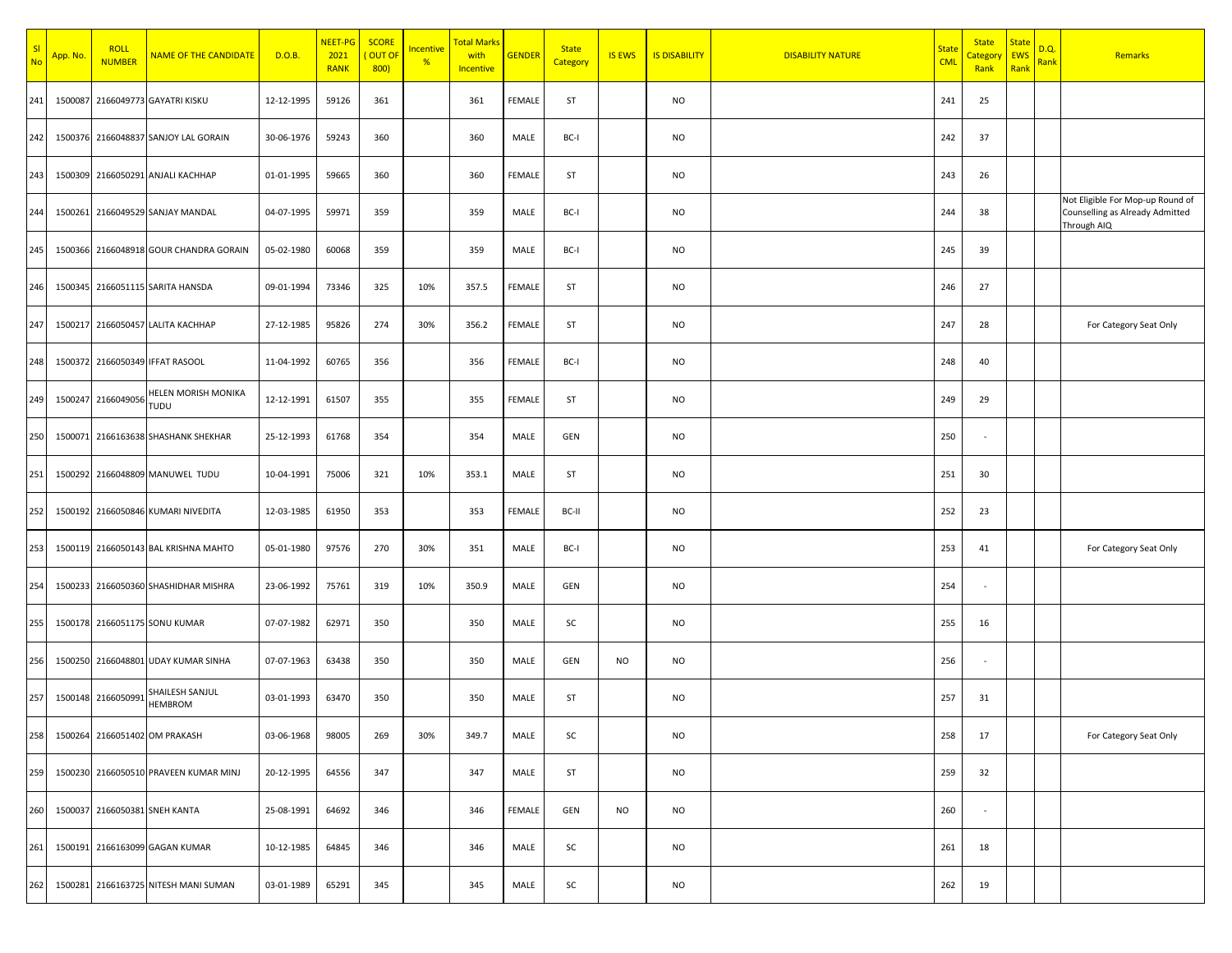| SI<br>No | App. No. | <b>ROLL</b><br><b>NUMBER</b> | <b>NAME OF THE CANDIDATE</b>           | D.O.B.     | NEET-PG<br>2021<br><b>RANK</b> | <b>SCORE</b><br><b>OUT OF</b><br>800) | Incentive<br>% | <b>Total Marks</b><br>with<br><b>Incentive</b> | <b>GENDER</b> | <b>State</b><br>Category | <b>IS EWS</b> | <b>IS DISABILITY</b> | <b>DISABILITY NATURE</b> | <b>State</b><br><b>CML</b> | <b>State</b><br>Category<br>Rank | <b>State</b><br><b>EWS</b><br>Rank | D.Q.<br>Rank | Remarks                                                                            |
|----------|----------|------------------------------|----------------------------------------|------------|--------------------------------|---------------------------------------|----------------|------------------------------------------------|---------------|--------------------------|---------------|----------------------|--------------------------|----------------------------|----------------------------------|------------------------------------|--------------|------------------------------------------------------------------------------------|
| 241      |          |                              | 1500087 2166049773 GAYATRI KISKU       | 12-12-1995 | 59126                          | 361                                   |                | 361                                            | FEMALE        | ST                       |               | <b>NO</b>            |                          | 241                        | 25                               |                                    |              |                                                                                    |
| 242      |          |                              | 1500376 2166048837 SANJOY LAL GORAIN   | 30-06-1976 | 59243                          | 360                                   |                | 360                                            | MALE          | BC-I                     |               | <b>NO</b>            |                          | 242                        | 37                               |                                    |              |                                                                                    |
| 243      |          |                              | 1500309 2166050291 ANJALI KACHHAP      | 01-01-1995 | 59665                          | 360                                   |                | 360                                            | FEMALE        | ST                       |               | <b>NO</b>            |                          | 243                        | 26                               |                                    |              |                                                                                    |
| 244      |          |                              | 1500261 2166049529 SANJAY MANDAL       | 04-07-1995 | 59971                          | 359                                   |                | 359                                            | MALE          | BC-I                     |               | <b>NO</b>            |                          | 244                        | 38                               |                                    |              | Not Eligible For Mop-up Round of<br>Counselling as Already Admitted<br>Through AIQ |
| 245      |          |                              | 1500366 2166048918 GOUR CHANDRA GORAIN | 05-02-1980 | 60068                          | 359                                   |                | 359                                            | MALE          | BC-I                     |               | <b>NO</b>            |                          | 245                        | 39                               |                                    |              |                                                                                    |
| 246      |          |                              | 1500345 2166051115 SARITA HANSDA       | 09-01-1994 | 73346                          | 325                                   | 10%            | 357.5                                          | <b>FEMALE</b> | ST                       |               | <b>NO</b>            |                          | 246                        | 27                               |                                    |              |                                                                                    |
| 247      |          |                              | 1500217 2166050457 LALITA KACHHAP      | 27-12-1985 | 95826                          | 274                                   | 30%            | 356.2                                          | FEMALE        | ST                       |               | <b>NO</b>            |                          | 247                        | 28                               |                                    |              | For Category Seat Only                                                             |
| 248      |          |                              | 1500372 2166050349 IFFAT RASOOL        | 11-04-1992 | 60765                          | 356                                   |                | 356                                            | FEMALE        | BC-I                     |               | <b>NO</b>            |                          | 248                        | 40                               |                                    |              |                                                                                    |
| 249      |          | 1500247 2166049056           | HELEN MORISH MONIKA<br>TUDU            | 12-12-1991 | 61507                          | 355                                   |                | 355                                            | FEMALE        | ST                       |               | <b>NO</b>            |                          | 249                        | 29                               |                                    |              |                                                                                    |
| 250      |          |                              | 1500071 2166163638 SHASHANK SHEKHAR    | 25-12-1993 | 61768                          | 354                                   |                | 354                                            | MALE          | GEN                      |               | <b>NO</b>            |                          | 250                        |                                  |                                    |              |                                                                                    |
| 251      |          |                              | 1500292 2166048809 MANUWEL TUDU        | 10-04-1991 | 75006                          | 321                                   | 10%            | 353.1                                          | MALE          | ST                       |               | <b>NO</b>            |                          | 251                        | 30                               |                                    |              |                                                                                    |
| 252      |          |                              | 1500192 2166050846 KUMARI NIVEDITA     | 12-03-1985 | 61950                          | 353                                   |                | 353                                            | FEMALE        | BC-II                    |               | <b>NO</b>            |                          | 252                        | 23                               |                                    |              |                                                                                    |
| 253      |          |                              | 1500119 2166050143 BAL KRISHNA MAHTO   | 05-01-1980 | 97576                          | 270                                   | 30%            | 351                                            | MALE          | BC-I                     |               | <b>NO</b>            |                          | 253                        | 41                               |                                    |              | For Category Seat Only                                                             |
| 254      |          |                              | 1500233 2166050360 SHASHIDHAR MISHRA   | 23-06-1992 | 75761                          | 319                                   | 10%            | 350.9                                          | MALE          | GEN                      |               | <b>NO</b>            |                          | 254                        | $\sim$                           |                                    |              |                                                                                    |
| 255      |          |                              | 1500178 2166051175 SONU KUMAR          | 07-07-1982 | 62971                          | 350                                   |                | 350                                            | MALE          | SC                       |               | <b>NO</b>            |                          | 255                        | 16                               |                                    |              |                                                                                    |
| 256      |          |                              | 1500250 2166048801 UDAY KUMAR SINHA    | 07-07-1963 | 63438                          | 350                                   |                | 350                                            | MALE          | GEN                      | <b>NO</b>     | <b>NO</b>            |                          | 256                        | $\sim$                           |                                    |              |                                                                                    |
| 257      |          | 1500148 2166050991           | SHAILESH SANJUL<br><b>HEMBROM</b>      | 03-01-1993 | 63470                          | 350                                   |                | 350                                            | MALE          | ST                       |               | <b>NO</b>            |                          | 257                        | 31                               |                                    |              |                                                                                    |
| 258      |          |                              | 1500264 2166051402 OM PRAKASH          | 03-06-1968 | 98005                          | 269                                   | 30%            | 349.7                                          | MALE          | SC                       |               | <b>NO</b>            |                          | 258                        | 17                               |                                    |              | For Category Seat Only                                                             |
| 259      |          |                              | 1500230 2166050510 PRAVEEN KUMAR MINJ  | 20-12-1995 | 64556                          | 347                                   |                | 347                                            | MALE          | ST                       |               | <b>NO</b>            |                          | 259                        | 32                               |                                    |              |                                                                                    |
| 260      |          |                              | 1500037 2166050381 SNEH KANTA          | 25-08-1991 | 64692                          | 346                                   |                | 346                                            | FEMALE        | GEN                      | <b>NO</b>     | <b>NO</b>            |                          | 260                        | $\sim$                           |                                    |              |                                                                                    |
| 261      |          |                              | 1500191 2166163099 GAGAN KUMAR         | 10-12-1985 | 64845                          | 346                                   |                | 346                                            | MALE          | SC                       |               | <b>NO</b>            |                          | 261                        | 18                               |                                    |              |                                                                                    |
| 262      |          |                              | 1500281 2166163725 NITESH MANI SUMAN   | 03-01-1989 | 65291                          | 345                                   |                | 345                                            | MALE          | SC                       |               | <b>NO</b>            |                          | 262                        | 19                               |                                    |              |                                                                                    |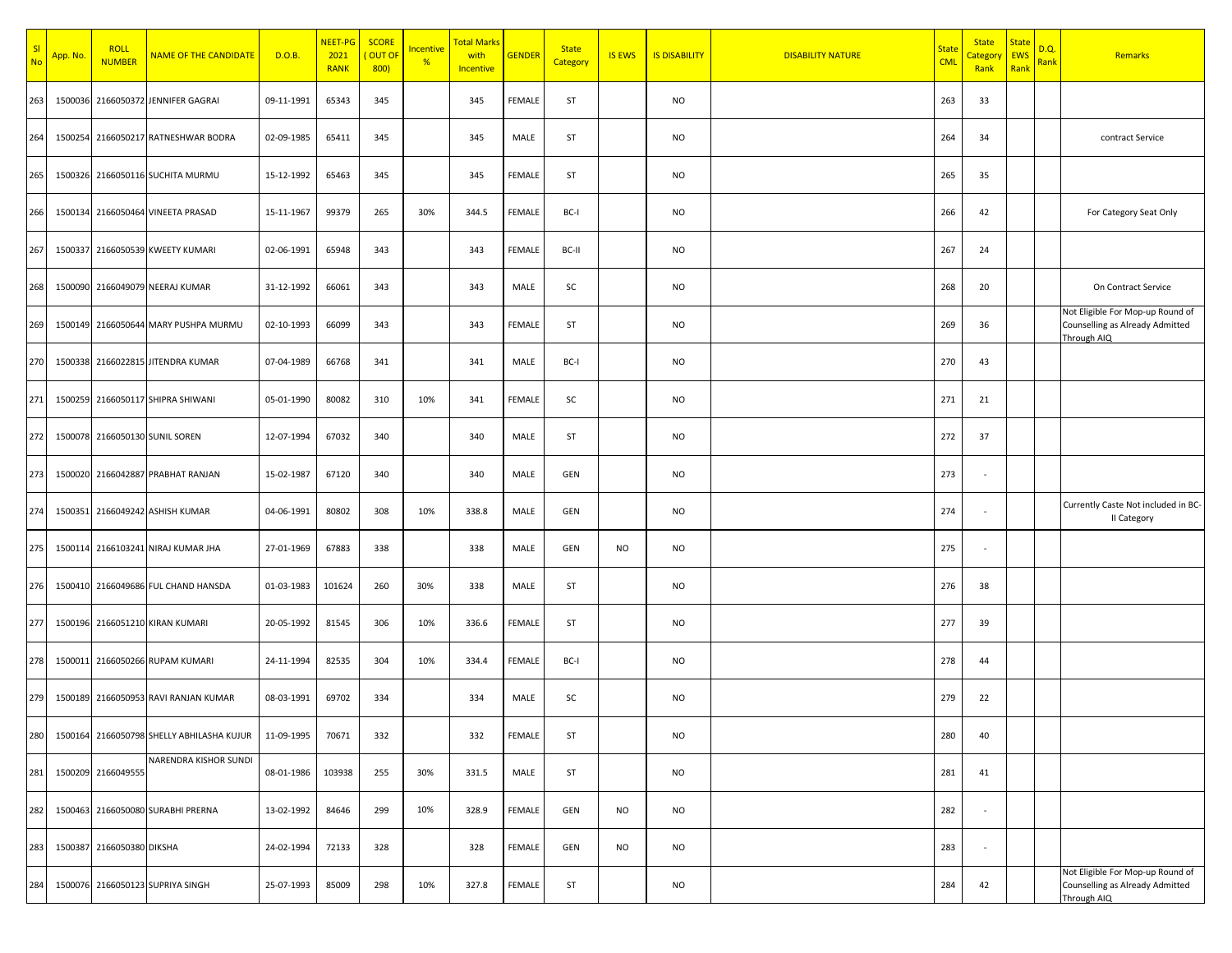| SI<br><b>No</b> | App. No. | <b>ROLL</b><br><b>NUMBER</b> | <b>NAME OF THE CANDIDATE</b>              | D.O.B.     | NEET-PG<br>2021<br><b>RANK</b> | <b>SCORE</b><br>OUT OI<br>800) | <b>Incentive</b><br>% | <b>Total Marks</b><br>with<br>Incentive | <b>GENDER</b> | <b>State</b><br>Category | <b>IS EWS</b> | <b>IS DISABILITY</b> | <b>DISABILITY NATURE</b> | <b>State</b><br><b>CML</b> | <b>State</b><br>Category<br>Rank | <b>State</b><br><b>EWS</b><br>Rank | D.Q.<br>Rank | Remarks                                                                            |
|-----------------|----------|------------------------------|-------------------------------------------|------------|--------------------------------|--------------------------------|-----------------------|-----------------------------------------|---------------|--------------------------|---------------|----------------------|--------------------------|----------------------------|----------------------------------|------------------------------------|--------------|------------------------------------------------------------------------------------|
| 263             |          |                              | 1500036 2166050372 JENNIFER GAGRAI        | 09-11-1991 | 65343                          | 345                            |                       | 345                                     | FEMALE        | ST                       |               | <b>NO</b>            |                          | 263                        | 33                               |                                    |              |                                                                                    |
| 264             |          |                              | 1500254 2166050217 RATNESHWAR BODRA       | 02-09-1985 | 65411                          | 345                            |                       | 345                                     | MALE          | ST                       |               | <b>NO</b>            |                          | 264                        | 34                               |                                    |              | contract Service                                                                   |
| 265             |          |                              | 1500326 2166050116 SUCHITA MURMU          | 15-12-1992 | 65463                          | 345                            |                       | 345                                     | FEMALE        | ST                       |               | <b>NO</b>            |                          | 265                        | 35                               |                                    |              |                                                                                    |
| 266             |          |                              | 1500134 2166050464 VINEETA PRASAD         | 15-11-1967 | 99379                          | 265                            | 30%                   | 344.5                                   | FEMALE        | BC-I                     |               | <b>NO</b>            |                          | 266                        | 42                               |                                    |              | For Category Seat Only                                                             |
| 267             |          |                              | 1500337 2166050539 KWEETY KUMARI          | 02-06-1991 | 65948                          | 343                            |                       | 343                                     | FEMALE        | BC-II                    |               | <b>NO</b>            |                          | 267                        | 24                               |                                    |              |                                                                                    |
| 268             |          |                              | 1500090 2166049079 NEERAJ KUMAR           | 31-12-1992 | 66061                          | 343                            |                       | 343                                     | MALE          | SC                       |               | <b>NO</b>            |                          | 268                        | 20                               |                                    |              | On Contract Service                                                                |
| 269             |          |                              | 1500149 2166050644 MARY PUSHPA MURMU      | 02-10-1993 | 66099                          | 343                            |                       | 343                                     | FEMALE        | ST                       |               | <b>NO</b>            |                          | 269                        | 36                               |                                    |              | Not Eligible For Mop-up Round of<br>Counselling as Already Admitted<br>Through AIQ |
| 270             |          |                              | 1500338 2166022815 JITENDRA KUMAR         | 07-04-1989 | 66768                          | 341                            |                       | 341                                     | MALE          | BC-I                     |               | <b>NO</b>            |                          | 270                        | 43                               |                                    |              |                                                                                    |
| 271             |          |                              | 1500259 2166050117 SHIPRA SHIWANI         | 05-01-1990 | 80082                          | 310                            | 10%                   | 341                                     | FEMALE        | SC                       |               | <b>NO</b>            |                          | 271                        | 21                               |                                    |              |                                                                                    |
| 272             |          |                              | 1500078 2166050130 SUNIL SOREN            | 12-07-1994 | 67032                          | 340                            |                       | 340                                     | MALE          | ST                       |               | <b>NO</b>            |                          | 272                        | 37                               |                                    |              |                                                                                    |
| 273             |          |                              | 1500020 2166042887 PRABHAT RANJAN         | 15-02-1987 | 67120                          | 340                            |                       | 340                                     | MALE          | GEN                      |               | <b>NO</b>            |                          | 273                        | $\sim$                           |                                    |              |                                                                                    |
| 274             |          |                              | 1500351 2166049242 ASHISH KUMAR           | 04-06-1991 | 80802                          | 308                            | 10%                   | 338.8                                   | MALE          | GEN                      |               | <b>NO</b>            |                          | 274                        |                                  |                                    |              | Currently Caste Not included in BC-<br>II Category                                 |
| 275             |          |                              | 1500114 2166103241 NIRAJ KUMAR JHA        | 27-01-1969 | 67883                          | 338                            |                       | 338                                     | MALE          | GEN                      | <b>NO</b>     | <b>NO</b>            |                          | 275                        |                                  |                                    |              |                                                                                    |
| 276             |          |                              | 1500410 2166049686 FUL CHAND HANSDA       | 01-03-1983 | 101624                         | 260                            | 30%                   | 338                                     | MALE          | ST                       |               | <b>NO</b>            |                          | 276                        | 38                               |                                    |              |                                                                                    |
| 277             |          |                              | 1500196 2166051210 KIRAN KUMARI           | 20-05-1992 | 81545                          | 306                            | 10%                   | 336.6                                   | FEMALE        | ST                       |               | <b>NO</b>            |                          | 277                        | 39                               |                                    |              |                                                                                    |
| 278             |          |                              | 1500011 2166050266 RUPAM KUMARI           | 24-11-1994 | 82535                          | 304                            | 10%                   | 334.4                                   | FEMALE        | BC-I                     |               | <b>NO</b>            |                          | 278                        | 44                               |                                    |              |                                                                                    |
| 279             |          |                              | 1500189 2166050953 RAVI RANJAN KUMAR      | 08-03-1991 | 69702                          | 334                            |                       | 334                                     | MALE          | SC                       |               | <b>NO</b>            |                          | 279                        | 22                               |                                    |              |                                                                                    |
| 280             |          |                              | 1500164 2166050798 SHELLY ABHILASHA KUJUR | 11-09-1995 | 70671                          | 332                            |                       | 332                                     | FEMALE        | ST                       |               | <b>NO</b>            |                          | 280                        | 40                               |                                    |              |                                                                                    |
| 281             |          | 1500209 2166049555           | NARENDRA KISHOR SUNDI                     | 08-01-1986 | 103938                         | 255                            | 30%                   | 331.5                                   | MALE          | ST                       |               | <b>NO</b>            |                          | 281                        | 41                               |                                    |              |                                                                                    |
| 282             |          |                              | 1500463 2166050080 SURABHI PRERNA         | 13-02-1992 | 84646                          | 299                            | 10%                   | 328.9                                   | FEMALE        | GEN                      | <b>NO</b>     | <b>NO</b>            |                          | 282                        |                                  |                                    |              |                                                                                    |
| 283             |          | 1500387 2166050380 DIKSHA    |                                           | 24-02-1994 | 72133                          | 328                            |                       | 328                                     | FEMALE        | GEN                      | <b>NO</b>     | <b>NO</b>            |                          | 283                        | $\sim$                           |                                    |              |                                                                                    |
| 284             |          |                              | 1500076 2166050123 SUPRIYA SINGH          | 25-07-1993 | 85009                          | 298                            | 10%                   | 327.8                                   | FEMALE        | ST                       |               | <b>NO</b>            |                          | 284                        | 42                               |                                    |              | Not Eligible For Mop-up Round of<br>Counselling as Already Admitted<br>Through AIQ |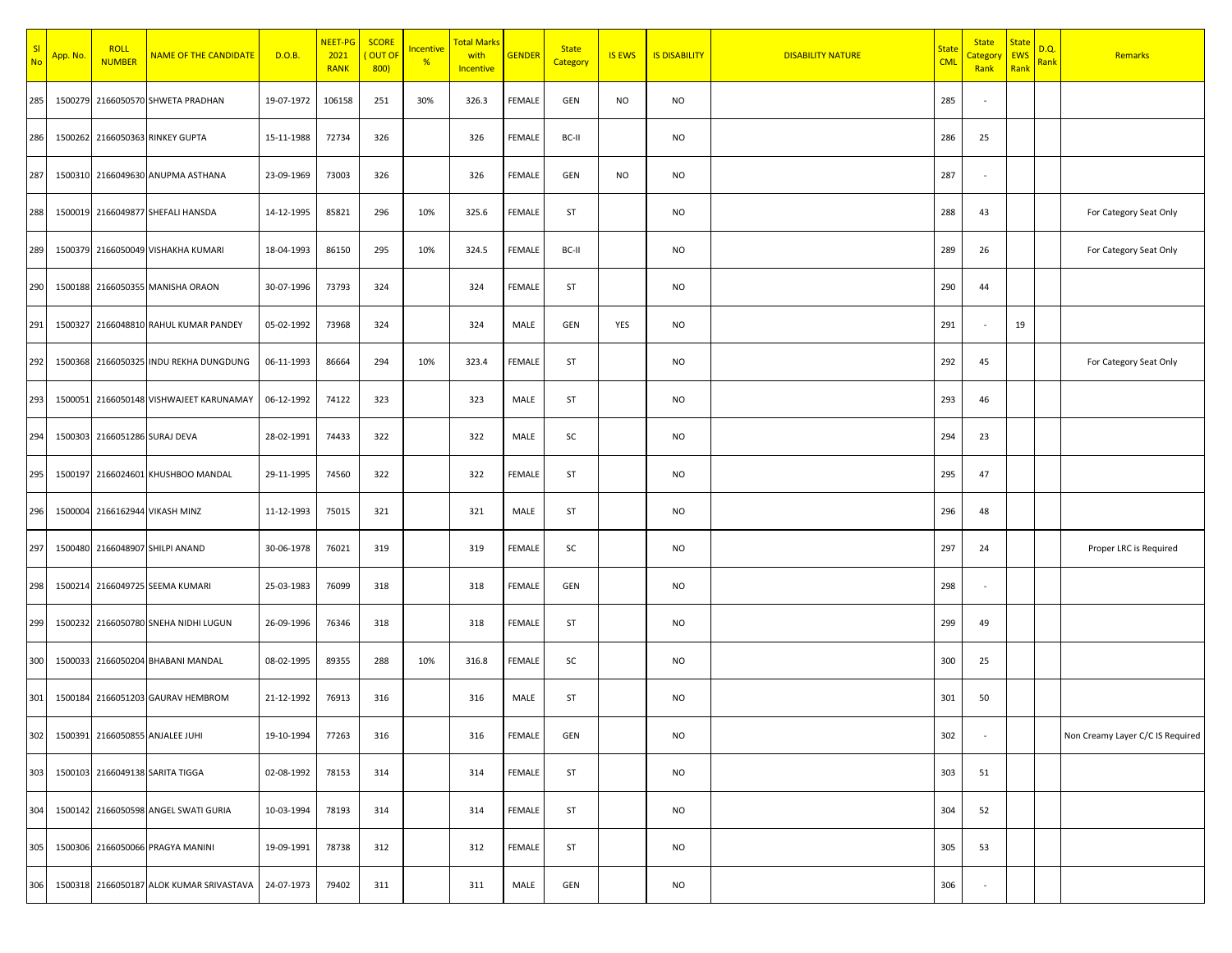| SI<br>No | App. No. | <b>ROLL</b><br><b>NUMBER</b>  | <b>NAME OF THE CANDIDATE</b>             | D.O.B.     | NEET-PG<br>2021<br><b>RANK</b> | <b>SCORE</b><br><b>OUT OF</b><br>800) | Incentive<br>% | <b>Total Marks</b><br>with<br>Incentive | <b>GENDER</b> | <b>State</b><br>Category | <b>IS EWS</b> | <b>IS DISABILITY</b> | <b>DISABILITY NATURE</b> | <b>State</b><br><b>CML</b> | <b>State</b><br>Category<br>Rank | <b>State</b><br><b>EWS</b><br>Rank | D.Q.<br>Rank | Remarks                          |
|----------|----------|-------------------------------|------------------------------------------|------------|--------------------------------|---------------------------------------|----------------|-----------------------------------------|---------------|--------------------------|---------------|----------------------|--------------------------|----------------------------|----------------------------------|------------------------------------|--------------|----------------------------------|
| 285      |          |                               | 1500279 2166050570 SHWETA PRADHAN        | 19-07-1972 | 106158                         | 251                                   | 30%            | 326.3                                   | FEMALE        | GEN                      | NO            | <b>NO</b>            |                          | 285                        |                                  |                                    |              |                                  |
| 286      |          |                               | 1500262 2166050363 RINKEY GUPTA          | 15-11-1988 | 72734                          | 326                                   |                | 326                                     | FEMALE        | BC-II                    |               | <b>NO</b>            |                          | 286                        | 25                               |                                    |              |                                  |
| 287      |          |                               | 1500310 2166049630 ANUPMA ASTHANA        | 23-09-1969 | 73003                          | 326                                   |                | 326                                     | FEMALE        | GEN                      | NO            | <b>NO</b>            |                          | 287                        |                                  |                                    |              |                                  |
| 288      |          |                               | 1500019 2166049877 SHEFALI HANSDA        | 14-12-1995 | 85821                          | 296                                   | 10%            | 325.6                                   | FEMALE        | ST                       |               | <b>NO</b>            |                          | 288                        | 43                               |                                    |              | For Category Seat Only           |
| 289      |          |                               | 1500379 2166050049 VISHAKHA KUMARI       | 18-04-1993 | 86150                          | 295                                   | 10%            | 324.5                                   | FEMALE        | BC-II                    |               | <b>NO</b>            |                          | 289                        | 26                               |                                    |              | For Category Seat Only           |
| 290      |          |                               | 1500188 2166050355 MANISHA ORAON         | 30-07-1996 | 73793                          | 324                                   |                | 324                                     | FEMALE        | ST                       |               | <b>NO</b>            |                          | 290                        | 44                               |                                    |              |                                  |
| 291      |          |                               | 1500327 2166048810 RAHUL KUMAR PANDEY    | 05-02-1992 | 73968                          | 324                                   |                | 324                                     | MALE          | GEN                      | YES           | <b>NO</b>            |                          | 291                        | $\overline{\phantom{a}}$         | 19                                 |              |                                  |
| 292      |          |                               | 1500368 2166050325 INDU REKHA DUNGDUNG   | 06-11-1993 | 86664                          | 294                                   | 10%            | 323.4                                   | FEMALE        | ST                       |               | <b>NO</b>            |                          | 292                        | 45                               |                                    |              | For Category Seat Only           |
| 293      |          |                               | 1500051 2166050148 VISHWAJEET KARUNAMAY  | 06-12-1992 | 74122                          | 323                                   |                | 323                                     | MALE          | ST                       |               | <b>NO</b>            |                          | 293                        | 46                               |                                    |              |                                  |
| 294      |          | 1500303 2166051286 SURAJ DEVA |                                          | 28-02-1991 | 74433                          | 322                                   |                | 322                                     | MALE          | SC                       |               | <b>NO</b>            |                          | 294                        | 23                               |                                    |              |                                  |
| 295      |          |                               | 1500197 2166024601 KHUSHBOO MANDAL       | 29-11-1995 | 74560                          | 322                                   |                | 322                                     | FEMALE        | ST                       |               | <b>NO</b>            |                          | 295                        | 47                               |                                    |              |                                  |
| 296      |          |                               | 1500004 2166162944 VIKASH MINZ           | 11-12-1993 | 75015                          | 321                                   |                | 321                                     | MALE          | ST                       |               | <b>NO</b>            |                          | 296                        | 48                               |                                    |              |                                  |
| 297      |          |                               | 1500480 2166048907 SHILPI ANAND          | 30-06-1978 | 76021                          | 319                                   |                | 319                                     | FEMALE        | SC                       |               | <b>NO</b>            |                          | 297                        | 24                               |                                    |              | Proper LRC is Required           |
| 298      |          |                               | 1500214 2166049725 SEEMA KUMARI          | 25-03-1983 | 76099                          | 318                                   |                | 318                                     | FEMALE        | GEN                      |               | <b>NO</b>            |                          | 298                        |                                  |                                    |              |                                  |
| 299      |          |                               | 1500232 2166050780 SNEHA NIDHI LUGUN     | 26-09-1996 | 76346                          | 318                                   |                | 318                                     | FEMALE        | ST                       |               | <b>NO</b>            |                          | 299                        | 49                               |                                    |              |                                  |
| 300      |          |                               | 1500033 2166050204 BHABANI MANDAL        | 08-02-1995 | 89355                          | 288                                   | 10%            | 316.8                                   | FEMALE        | SC                       |               | <b>NO</b>            |                          | 300                        | 25                               |                                    |              |                                  |
| 301      |          |                               | 1500184 2166051203 GAURAV HEMBROM        | 21-12-1992 | 76913                          | 316                                   |                | 316                                     | MALE          | ST                       |               | <b>NO</b>            |                          | 301                        | 50                               |                                    |              |                                  |
| 302      |          |                               | 1500391 2166050855 ANJALEE JUHI          | 19-10-1994 | 77263                          | 316                                   |                | 316                                     | FEMALE        | GEN                      |               | <b>NO</b>            |                          | 302                        |                                  |                                    |              | Non Creamy Layer C/C IS Required |
| 303      |          |                               | 1500103 2166049138 SARITA TIGGA          | 02-08-1992 | 78153                          | 314                                   |                | 314                                     | FEMALE        | ST                       |               | <b>NO</b>            |                          | 303                        | 51                               |                                    |              |                                  |
| 304      |          |                               | 1500142 2166050598 ANGEL SWATI GURIA     | 10-03-1994 | 78193                          | 314                                   |                | 314                                     | FEMALE        | ST                       |               | <b>NO</b>            |                          | 304                        | 52                               |                                    |              |                                  |
| 305      |          |                               | 1500306 2166050066 PRAGYA MANINI         | 19-09-1991 | 78738                          | 312                                   |                | 312                                     | FEMALE        | ST                       |               | <b>NO</b>            |                          | 305                        | 53                               |                                    |              |                                  |
| 306      |          |                               | 1500318 2166050187 ALOK KUMAR SRIVASTAVA | 24-07-1973 | 79402                          | 311                                   |                | 311                                     | MALE          | GEN                      |               | <b>NO</b>            |                          | 306                        | $\sim$                           |                                    |              |                                  |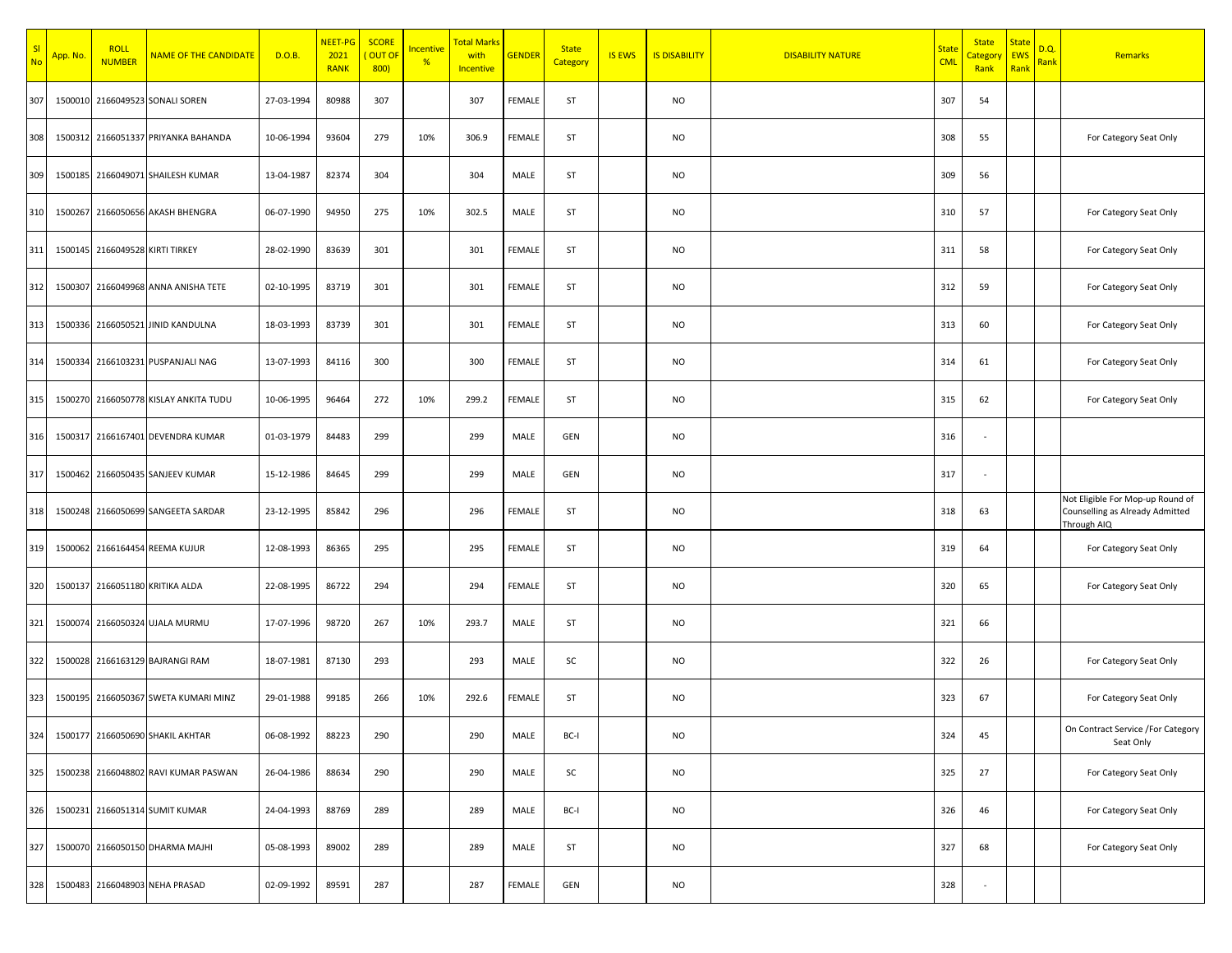| <mark>SI</mark><br>No | <mark>App. No</mark> | <b>ROLL</b><br><b>NUMBER</b>    | <b>NAME OF THE CANDIDATE</b>          | D.O.B.     | NEET-PG<br>2021<br><b>RANK</b> | <b>SCORE</b><br>OUT OI<br>800) | Incentive<br>% | <b>Total Marks</b><br>with<br>Incentive | <b>GENDER</b> | <b>State</b><br>Category | <b>IS EWS</b> | <b>IS DISABILITY</b> | <b>DISABILITY NATURE</b> | <b>State</b><br><b>CML</b> | <b>State</b><br>Category<br>Rank | <b>State</b><br><b>EWS</b><br>Rank | D.Q.<br>Rank | Remarks                                                                            |
|-----------------------|----------------------|---------------------------------|---------------------------------------|------------|--------------------------------|--------------------------------|----------------|-----------------------------------------|---------------|--------------------------|---------------|----------------------|--------------------------|----------------------------|----------------------------------|------------------------------------|--------------|------------------------------------------------------------------------------------|
| 307                   |                      |                                 | 1500010 2166049523 SONALI SOREN       | 27-03-1994 | 80988                          | 307                            |                | 307                                     | <b>FEMALE</b> | ST                       |               | NO                   |                          | 307                        | 54                               |                                    |              |                                                                                    |
| 308                   |                      |                                 | 1500312 2166051337 PRIYANKA BAHANDA   | 10-06-1994 | 93604                          | 279                            | 10%            | 306.9                                   | <b>FEMALE</b> | ST                       |               | <b>NO</b>            |                          | 308                        | 55                               |                                    |              | For Category Seat Only                                                             |
| 309                   |                      |                                 | 1500185 2166049071 SHAILESH KUMAR     | 13-04-1987 | 82374                          | 304                            |                | 304                                     | MALE          | ST                       |               | <b>NO</b>            |                          | 309                        | 56                               |                                    |              |                                                                                    |
| 310                   |                      |                                 | 1500267 2166050656 AKASH BHENGRA      | 06-07-1990 | 94950                          | 275                            | 10%            | 302.5                                   | MALE          | ST                       |               | NO                   |                          | 310                        | 57                               |                                    |              | For Category Seat Only                                                             |
| 311                   |                      | 1500145 2166049528 KIRTI TIRKEY |                                       | 28-02-1990 | 83639                          | 301                            |                | 301                                     | <b>FEMALE</b> | ST                       |               | NO                   |                          | 311                        | 58                               |                                    |              | For Category Seat Only                                                             |
| 312                   | 1500307              |                                 | 2166049968 ANNA ANISHA TETE           | 02-10-1995 | 83719                          | 301                            |                | 301                                     | <b>FEMALE</b> | ST                       |               | NO                   |                          | 312                        | 59                               |                                    |              | For Category Seat Only                                                             |
| 313                   |                      |                                 | 1500336 2166050521 JINID KANDULNA     | 18-03-1993 | 83739                          | 301                            |                | 301                                     | <b>FEMALE</b> | ST                       |               | NO                   |                          | 313                        | 60                               |                                    |              | For Category Seat Only                                                             |
| 314                   | 1500334              |                                 | 2166103231 PUSPANJALI NAG             | 13-07-1993 | 84116                          | 300                            |                | 300                                     | <b>FEMALE</b> | ST                       |               | NO                   |                          | 314                        | 61                               |                                    |              | For Category Seat Only                                                             |
| 315                   |                      |                                 | 1500270 2166050778 KISLAY ANKITA TUDU | 10-06-1995 | 96464                          | 272                            | 10%            | 299.2                                   | <b>FEMALE</b> | ST                       |               | NO                   |                          | 315                        | 62                               |                                    |              | For Category Seat Only                                                             |
| 316                   | 1500317              |                                 | 2166167401 DEVENDRA KUMAR             | 01-03-1979 | 84483                          | 299                            |                | 299                                     | MALE          | GEN                      |               | <b>NO</b>            |                          | 316                        |                                  |                                    |              |                                                                                    |
| 317                   |                      |                                 | 1500462 2166050435 SANJEEV KUMAR      | 15-12-1986 | 84645                          | 299                            |                | 299                                     | MALE          | GEN                      |               | NO                   |                          | 317                        | $\overline{\phantom{a}}$         |                                    |              |                                                                                    |
| 318                   |                      |                                 | 1500248 2166050699 SANGEETA SARDAR    | 23-12-1995 | 85842                          | 296                            |                | 296                                     | <b>FEMALE</b> | ST                       |               | NO                   |                          | 318                        | 63                               |                                    |              | Not Eligible For Mop-up Round of<br>Counselling as Already Admitted<br>Through AIQ |
| 319                   |                      |                                 | 1500062 2166164454 REEMA KUJUR        | 12-08-1993 | 86365                          | 295                            |                | 295                                     | <b>FEMALE</b> | ST                       |               | NO                   |                          | 319                        | 64                               |                                    |              | For Category Seat Only                                                             |
| 320                   | 1500137              |                                 | 2166051180 KRITIKA ALDA               | 22-08-1995 | 86722                          | 294                            |                | 294                                     | <b>FEMALE</b> | ST                       |               | NO                   |                          | 320                        | 65                               |                                    |              | For Category Seat Only                                                             |
| 321                   | 1500074              |                                 | 2166050324 UJALA MURMU                | 17-07-1996 | 98720                          | 267                            | 10%            | 293.7                                   | MALE          | ST                       |               | NO                   |                          | 321                        | 66                               |                                    |              |                                                                                    |
| 322                   |                      |                                 | 1500028 2166163129 BAJRANGI RAM       | 18-07-1981 | 87130                          | 293                            |                | 293                                     | MALE          | SC                       |               | NO                   |                          | 322                        | 26                               |                                    |              | For Category Seat Only                                                             |
| 323                   |                      |                                 | 1500195 2166050367 SWETA KUMARI MINZ  | 29-01-1988 | 99185                          | 266                            | 10%            | 292.6                                   | FEMALE        | ST                       |               | NO                   |                          | 323                        | 67                               |                                    |              | For Category Seat Only                                                             |
| 324                   |                      |                                 | 1500177 2166050690 SHAKIL AKHTAR      | 06-08-1992 | 88223                          | 290                            |                | 290                                     | MALE          | BC-I                     |               | <b>NO</b>            |                          | 324                        | 45                               |                                    |              | On Contract Service /For Category<br>Seat Only                                     |
| 325                   |                      |                                 | 1500238 2166048802 RAVI KUMAR PASWAN  | 26-04-1986 | 88634                          | 290                            |                | 290                                     | MALE          | SC                       |               | <b>NO</b>            |                          | 325                        | 27                               |                                    |              | For Category Seat Only                                                             |
| 326                   |                      |                                 | 1500231 2166051314 SUMIT KUMAR        | 24-04-1993 | 88769                          | 289                            |                | 289                                     | MALE          | BC-I                     |               | <b>NO</b>            |                          | 326                        | 46                               |                                    |              | For Category Seat Only                                                             |
| 327                   |                      |                                 | 1500070 2166050150 DHARMA MAJHI       | 05-08-1993 | 89002                          | 289                            |                | 289                                     | MALE          | ST                       |               | <b>NO</b>            |                          | 327                        | 68                               |                                    |              | For Category Seat Only                                                             |
| 328                   |                      |                                 | 1500483 2166048903 NEHA PRASAD        | 02-09-1992 | 89591                          | 287                            |                | 287                                     | FEMALE        | GEN                      |               | NO                   |                          | 328                        |                                  |                                    |              |                                                                                    |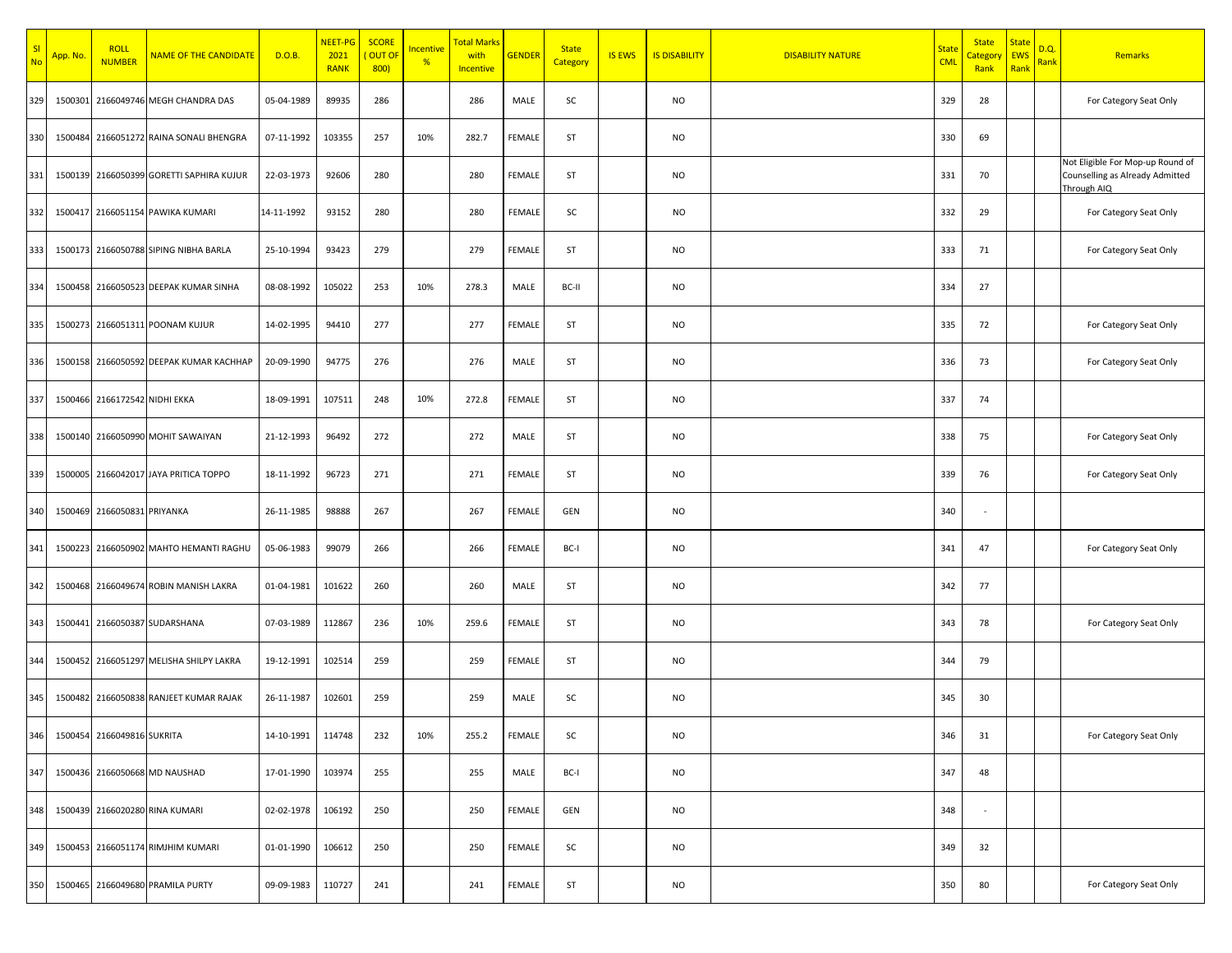| $\frac{SI}{No}$ | App. No. | <b>ROLL</b><br><b>NUMBER</b>  | <b>NAME OF THE CANDIDATE</b>             | D.O.B.     | NEET-PG<br>2021<br><b>RANK</b> | <b>SCORE</b><br>OUT OI<br>800) | Incentive<br>% | <b>Total Marks</b><br>with<br>Incentive | <b>GENDER</b> | <b>State</b><br>Category | <b>IS EWS</b> | <b>IS DISABILITY</b> | <b>DISABILITY NATURE</b> | <b>State</b><br><b>CML</b> | <b>State</b><br>Category<br>Rank | <b>State</b><br><b>EWS</b><br>Rank | D.Q.<br>Rank | Remarks                                                                            |
|-----------------|----------|-------------------------------|------------------------------------------|------------|--------------------------------|--------------------------------|----------------|-----------------------------------------|---------------|--------------------------|---------------|----------------------|--------------------------|----------------------------|----------------------------------|------------------------------------|--------------|------------------------------------------------------------------------------------|
| 329             | 1500301  |                               | 2166049746 MEGH CHANDRA DAS              | 05-04-1989 | 89935                          | 286                            |                | 286                                     | MALE          | SC                       |               | NO                   |                          | 329                        | 28                               |                                    |              | For Category Seat Only                                                             |
| 330             | 1500484  |                               | 2166051272 RAINA SONALI BHENGRA          | 07-11-1992 | 103355                         | 257                            | 10%            | 282.7                                   | FEMALE        | ST                       |               | <b>NO</b>            |                          | 330                        | 69                               |                                    |              |                                                                                    |
| 331             |          |                               | 1500139 2166050399 GORETTI SAPHIRA KUJUR | 22-03-1973 | 92606                          | 280                            |                | 280                                     | <b>FEMALE</b> | ST                       |               | <b>NO</b>            |                          | 331                        | 70                               |                                    |              | Not Eligible For Mop-up Round of<br>Counselling as Already Admitted<br>Through AIQ |
| 332             |          |                               | 1500417 2166051154 PAWIKA KUMARI         | 14-11-1992 | 93152                          | 280                            |                | 280                                     | <b>FEMALE</b> | SC                       |               | NO                   |                          | 332                        | 29                               |                                    |              | For Category Seat Only                                                             |
| 333             |          |                               | 1500173 2166050788 SIPING NIBHA BARLA    | 25-10-1994 | 93423                          | 279                            |                | 279                                     | <b>FEMALE</b> | ST                       |               | NO                   |                          | 333                        | 71                               |                                    |              | For Category Seat Only                                                             |
| 334             |          |                               | 1500458 2166050523 DEEPAK KUMAR SINHA    | 08-08-1992 | 105022                         | 253                            | 10%            | 278.3                                   | MALE          | BC-II                    |               | NO                   |                          | 334                        | 27                               |                                    |              |                                                                                    |
| 335             |          |                               | 1500273 2166051311 POONAM KUJUR          | 14-02-1995 | 94410                          | 277                            |                | 277                                     | <b>FEMALE</b> | ST                       |               | NO                   |                          | 335                        | 72                               |                                    |              | For Category Seat Only                                                             |
| 336             |          |                               | 1500158 2166050592 DEEPAK KUMAR KACHHAP  | 20-09-1990 | 94775                          | 276                            |                | 276                                     | MALE          | ST                       |               | <b>NO</b>            |                          | 336                        | 73                               |                                    |              | For Category Seat Only                                                             |
| 337             |          | 1500466 2166172542 NIDHI EKKA |                                          | 18-09-1991 | 107511                         | 248                            | 10%            | 272.8                                   | <b>FEMALE</b> | ST                       |               | <b>NO</b>            |                          | 337                        | 74                               |                                    |              |                                                                                    |
| 338             |          |                               | 1500140 2166050990 MOHIT SAWAIYAN        | 21-12-1993 | 96492                          | 272                            |                | 272                                     | MALE          | ST                       |               | <b>NO</b>            |                          | 338                        | 75                               |                                    |              | For Category Seat Only                                                             |
| 339             |          |                               | 1500005 2166042017 JAYA PRITICA TOPPO    | 18-11-1992 | 96723                          | 271                            |                | 271                                     | <b>FEMALE</b> | ST                       |               | <b>NO</b>            |                          | 339                        | 76                               |                                    |              | For Category Seat Only                                                             |
| 340             |          | 1500469 2166050831 PRIYANKA   |                                          | 26-11-1985 | 98888                          | 267                            |                | 267                                     | <b>FEMALE</b> | GEN                      |               | NO                   |                          | 340                        |                                  |                                    |              |                                                                                    |
| 341             |          |                               | 1500223 2166050902 MAHTO HEMANTI RAGHU   | 05-06-1983 | 99079                          | 266                            |                | 266                                     | <b>FEMALE</b> | BC-I                     |               | NO                   |                          | 341                        | 47                               |                                    |              | For Category Seat Only                                                             |
| 342             |          |                               | 1500468 2166049674 ROBIN MANISH LAKRA    | 01-04-1981 | 101622                         | 260                            |                | 260                                     | MALE          | ST                       |               | NO                   |                          | 342                        | 77                               |                                    |              |                                                                                    |
| 343             | 1500441  |                               | 2166050387 SUDARSHANA                    | 07-03-1989 | 112867                         | 236                            | 10%            | 259.6                                   | <b>FEMALE</b> | ST                       |               | NO                   |                          | 343                        | 78                               |                                    |              | For Category Seat Only                                                             |
| 344             | 1500452  |                               | 2166051297 MELISHA SHILPY LAKRA          | 19-12-1991 | 102514                         | 259                            |                | 259                                     | <b>FEMALE</b> | ST                       |               | NO                   |                          | 344                        | 79                               |                                    |              |                                                                                    |
| 345             | 1500482  |                               | 2166050838 RANJEET KUMAR RAJAK           | 26-11-1987 | 102601                         | 259                            |                | 259                                     | MALE          | SC                       |               | <b>NO</b>            |                          | 345                        | 30                               |                                    |              |                                                                                    |
| 346             |          | 1500454 2166049816 SUKRITA    |                                          | 14-10-1991 | 114748                         | 232                            | 10%            | 255.2                                   | FEMALE        | SC                       |               | <b>NO</b>            |                          | 346                        | 31                               |                                    |              | For Category Seat Only                                                             |
| 347             |          |                               | 1500436 2166050668 MD NAUSHAD            | 17-01-1990 | 103974                         | 255                            |                | 255                                     | MALE          | BC-I                     |               | <b>NO</b>            |                          | 347                        | 48                               |                                    |              |                                                                                    |
| 348             |          |                               | 1500439 2166020280 RINA KUMARI           | 02-02-1978 | 106192                         | 250                            |                | 250                                     | FEMALE        | GEN                      |               | NO                   |                          | 348                        |                                  |                                    |              |                                                                                    |
| 349             |          |                               | 1500453 2166051174 RIMJHIM KUMARI        | 01-01-1990 | 106612                         | 250                            |                | 250                                     | FEMALE        | SC                       |               | NO                   |                          | 349                        | 32                               |                                    |              |                                                                                    |
| 350             |          |                               | 1500465 2166049680 PRAMILA PURTY         | 09-09-1983 | 110727                         | 241                            |                | 241                                     | FEMALE        | ST                       |               | NO                   |                          | 350                        | 80                               |                                    |              | For Category Seat Only                                                             |